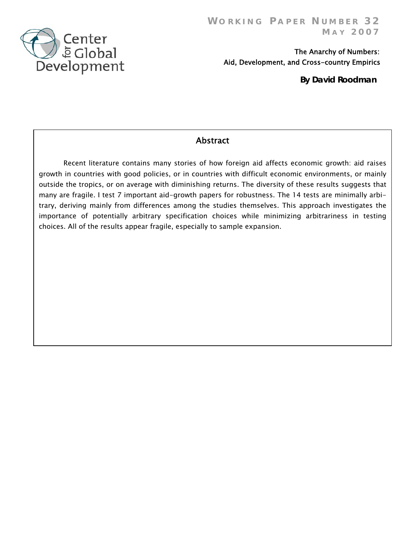

 The Anarchy of Numbers: Aid, Development, and Cross-country Empirics

 **By David Roodman**

# **Abstract**

Recent literature contains many stories of how foreign aid affects economic growth: aid raises growth in countries with good policies, or in countries with difficult economic environments, or mainly outside the tropics, or on average with diminishing returns. The diversity of these results suggests that many are fragile. I test 7 important aid-growth papers for robustness. The 14 tests are minimally arbitrary, deriving mainly from differences among the studies themselves. This approach investigates the importance of potentially arbitrary specification choices while minimizing arbitrariness in testing choices. All of the results appear fragile, especially to sample expansion.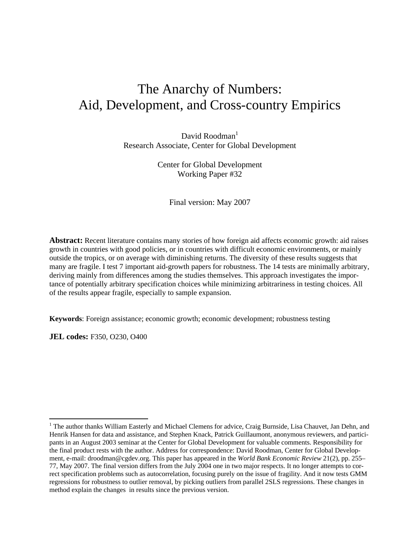# The Anarchy of Numbers: Aid, Development, and Cross-country Empirics

David Roodman $<sup>1</sup>$ </sup> Research Associate, Center for Global Development

> Center for Global Development Working Paper #32

> > Final version: May 2007

**Abstract:** Recent literature contains many stories of how foreign aid affects economic growth: aid raises growth in countries with good policies, or in countries with difficult economic environments, or mainly outside the tropics, or on average with diminishing returns. The diversity of these results suggests that many are fragile. I test 7 important aid-growth papers for robustness. The 14 tests are minimally arbitrary, deriving mainly from differences among the studies themselves. This approach investigates the importance of potentially arbitrary specification choices while minimizing arbitrariness in testing choices. All of the results appear fragile, especially to sample expansion.

**Keywords**: Foreign assistance; economic growth; economic development; robustness testing

**JEL codes:** F350, O230, O400

<sup>&</sup>lt;sup>1</sup> The author thanks William Easterly and Michael Clemens for advice, Craig Burnside, Lisa Chauvet, Jan Dehn, and Henrik Hansen for data and assistance, and Stephen Knack, Patrick Guillaumont, anonymous reviewers, and participants in an August 2003 seminar at the Center for Global Development for valuable comments. Responsibility for the final product rests with the author. Address for correspondence: David Roodman, Center for Global Development, e-mail: droodman@cgdev.org. This paper has appeared in the *World Bank Economic Review* 21(2), pp. 255– 77, May 2007. The final version differs from the July 2004 one in two major respects. It no longer attempts to correct specification problems such as autocorrelation, focusing purely on the issue of fragility. And it now tests GMM regressions for robustness to outlier removal, by picking outliers from parallel 2SLS regressions. These changes in method explain the changes in results since the previous version.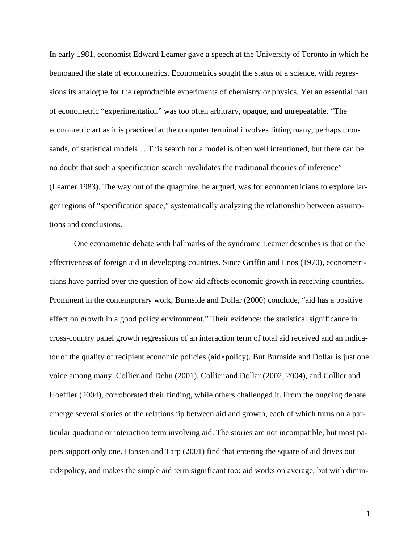In early 1981, economist Edward Leamer gave a speech at the University of Toronto in which he bemoaned the state of econometrics. Econometrics sought the status of a science, with regressions its analogue for the reproducible experiments of chemistry or physics. Yet an essential part of econometric "experimentation" was too often arbitrary, opaque, and unrepeatable. "The econometric art as it is practiced at the computer terminal involves fitting many, perhaps thousands, of statistical models….This search for a model is often well intentioned, but there can be no doubt that such a specification search invalidates the traditional theories of inference" (Leamer 1983). The way out of the quagmire, he argued, was for econometricians to explore larger regions of "specification space," systematically analyzing the relationship between assumptions and conclusions.

One econometric debate with hallmarks of the syndrome Leamer describes is that on the effectiveness of foreign aid in developing countries. Since Griffin and Enos (1970), econometricians have parried over the question of how aid affects economic growth in receiving countries. Prominent in the contemporary work, Burnside and Dollar (2000) conclude, "aid has a positive effect on growth in a good policy environment." Their evidence: the statistical significance in cross-country panel growth regressions of an interaction term of total aid received and an indicator of the quality of recipient economic policies (aid×policy). But Burnside and Dollar is just one voice among many. Collier and Dehn (2001), Collier and Dollar (2002, 2004), and Collier and Hoeffler (2004), corroborated their finding, while others challenged it. From the ongoing debate emerge several stories of the relationship between aid and growth, each of which turns on a particular quadratic or interaction term involving aid. The stories are not incompatible, but most papers support only one. Hansen and Tarp (2001) find that entering the square of aid drives out aid×policy, and makes the simple aid term significant too: aid works on average, but with dimin-

1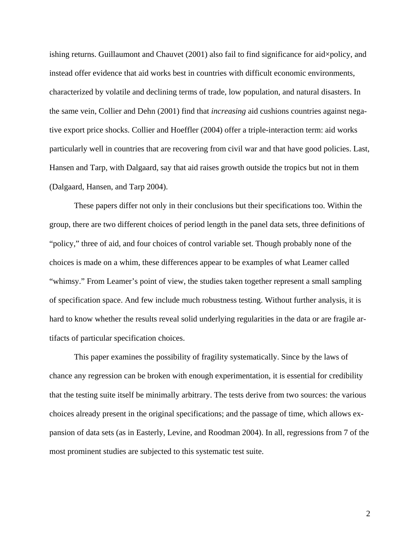ishing returns. Guillaumont and Chauvet  $(2001)$  also fail to find significance for aid $\times$ policy, and instead offer evidence that aid works best in countries with difficult economic environments, characterized by volatile and declining terms of trade, low population, and natural disasters. In the same vein, Collier and Dehn (2001) find that *increasing* aid cushions countries against negative export price shocks. Collier and Hoeffler (2004) offer a triple-interaction term: aid works particularly well in countries that are recovering from civil war and that have good policies. Last, Hansen and Tarp, with Dalgaard, say that aid raises growth outside the tropics but not in them (Dalgaard, Hansen, and Tarp 2004).

These papers differ not only in their conclusions but their specifications too. Within the group, there are two different choices of period length in the panel data sets, three definitions of "policy," three of aid, and four choices of control variable set. Though probably none of the choices is made on a whim, these differences appear to be examples of what Leamer called "whimsy." From Leamer's point of view, the studies taken together represent a small sampling of specification space. And few include much robustness testing. Without further analysis, it is hard to know whether the results reveal solid underlying regularities in the data or are fragile artifacts of particular specification choices.

This paper examines the possibility of fragility systematically. Since by the laws of chance any regression can be broken with enough experimentation, it is essential for credibility that the testing suite itself be minimally arbitrary. The tests derive from two sources: the various choices already present in the original specifications; and the passage of time, which allows expansion of data sets (as in Easterly, Levine, and Roodman 2004). In all, regressions from 7 of the most prominent studies are subjected to this systematic test suite.

2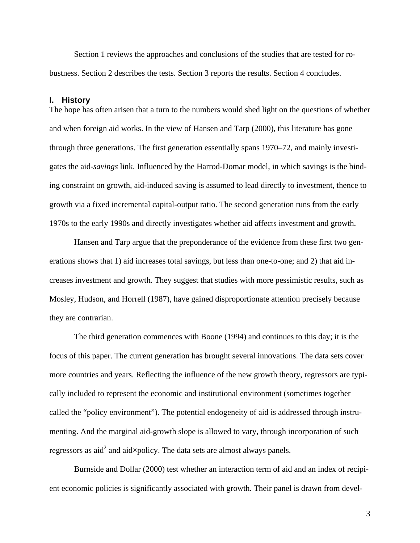Section 1 reviews the approaches and conclusions of the studies that are tested for robustness. Section 2 describes the tests. Section 3 reports the results. Section 4 concludes.

#### **I. History**

The hope has often arisen that a turn to the numbers would shed light on the questions of whether and when foreign aid works. In the view of Hansen and Tarp (2000), this literature has gone through three generations. The first generation essentially spans 1970–72, and mainly investigates the aid-*savings* link. Influenced by the Harrod-Domar model, in which savings is the binding constraint on growth, aid-induced saving is assumed to lead directly to investment, thence to growth via a fixed incremental capital-output ratio. The second generation runs from the early 1970s to the early 1990s and directly investigates whether aid affects investment and growth.

Hansen and Tarp argue that the preponderance of the evidence from these first two generations shows that 1) aid increases total savings, but less than one-to-one; and 2) that aid increases investment and growth. They suggest that studies with more pessimistic results, such as Mosley, Hudson, and Horrell (1987), have gained disproportionate attention precisely because they are contrarian.

The third generation commences with Boone (1994) and continues to this day; it is the focus of this paper. The current generation has brought several innovations. The data sets cover more countries and years. Reflecting the influence of the new growth theory, regressors are typically included to represent the economic and institutional environment (sometimes together called the "policy environment"). The potential endogeneity of aid is addressed through instrumenting. And the marginal aid-growth slope is allowed to vary, through incorporation of such regressors as aid<sup>2</sup> and aid×policy. The data sets are almost always panels.

Burnside and Dollar (2000) test whether an interaction term of aid and an index of recipient economic policies is significantly associated with growth. Their panel is drawn from devel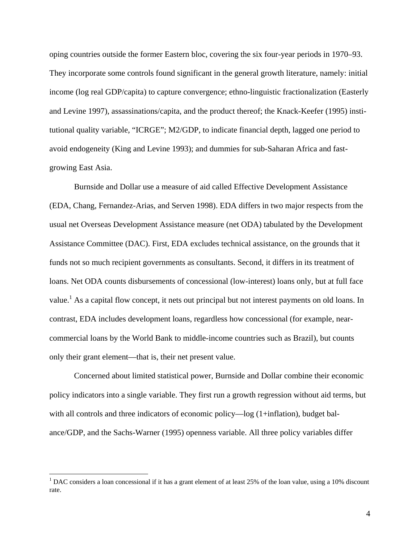oping countries outside the former Eastern bloc, covering the six four-year periods in 1970–93. They incorporate some controls found significant in the general growth literature, namely: initial income (log real GDP/capita) to capture convergence; ethno-linguistic fractionalization (Easterly and Levine 1997), assassinations/capita, and the product thereof; the Knack-Keefer (1995) institutional quality variable, "ICRGE"; M2/GDP, to indicate financial depth, lagged one period to avoid endogeneity (King and Levine 1993); and dummies for sub-Saharan Africa and fastgrowing East Asia.

Burnside and Dollar use a measure of aid called Effective Development Assistance (EDA, Chang, Fernandez-Arias, and Serven 1998). EDA differs in two major respects from the usual net Overseas Development Assistance measure (net ODA) tabulated by the Development Assistance Committee (DAC). First, EDA excludes technical assistance, on the grounds that it funds not so much recipient governments as consultants. Second, it differs in its treatment of loans. Net ODA counts disbursements of concessional (low-interest) loans only, but at full face value.<sup>1</sup> As a capital flow concept, it nets out principal but not interest payments on old loans. In contrast, EDA includes development loans, regardless how concessional (for example, nearcommercial loans by the World Bank to middle-income countries such as Brazil), but counts only their grant element—that is, their net present value.

Concerned about limited statistical power, Burnside and Dollar combine their economic policy indicators into a single variable. They first run a growth regression without aid terms, but with all controls and three indicators of economic policy—log (1+inflation), budget balance/GDP, and the Sachs-Warner (1995) openness variable. All three policy variables differ

<sup>&</sup>lt;sup>1</sup> DAC considers a loan concessional if it has a grant element of at least 25% of the loan value, using a 10% discount rate.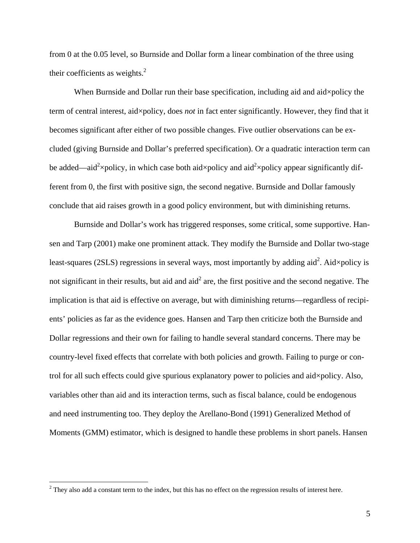from 0 at the 0.05 level, so Burnside and Dollar form a linear combination of the three using their coefficients as weights.<sup>2</sup>

When Burnside and Dollar run their base specification, including aid and aid×policy the term of central interest, aid×policy, does *not* in fact enter significantly. However, they find that it becomes significant after either of two possible changes. Five outlier observations can be excluded (giving Burnside and Dollar's preferred specification). Or a quadratic interaction term can be added—aid<sup>2</sup>×policy, in which case both aid×policy and aid<sup>2</sup>×policy appear significantly different from 0, the first with positive sign, the second negative. Burnside and Dollar famously conclude that aid raises growth in a good policy environment, but with diminishing returns.

Burnside and Dollar's work has triggered responses, some critical, some supportive. Hansen and Tarp (2001) make one prominent attack. They modify the Burnside and Dollar two-stage least-squares (2SLS) regressions in several ways, most importantly by adding aid<sup>2</sup>. Aid×policy is not significant in their results, but aid and aid<sup>2</sup> are, the first positive and the second negative. The implication is that aid is effective on average, but with diminishing returns—regardless of recipients' policies as far as the evidence goes. Hansen and Tarp then criticize both the Burnside and Dollar regressions and their own for failing to handle several standard concerns. There may be country-level fixed effects that correlate with both policies and growth. Failing to purge or control for all such effects could give spurious explanatory power to policies and aid×policy. Also, variables other than aid and its interaction terms, such as fiscal balance, could be endogenous and need instrumenting too. They deploy the Arellano-Bond (1991) Generalized Method of Moments (GMM) estimator, which is designed to handle these problems in short panels. Hansen

 $2^2$  They also add a constant term to the index, but this has no effect on the regression results of interest here.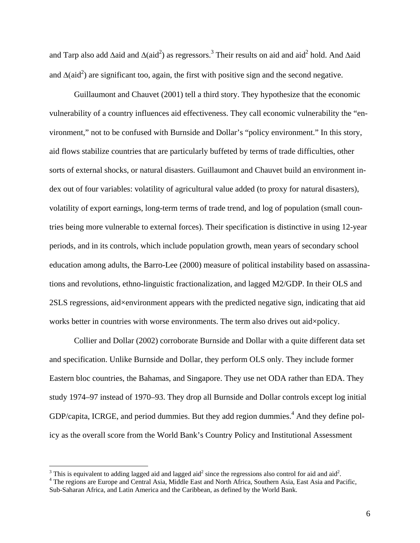and Tarp also add  $\Delta$ aid and  $\Delta$ (aid<sup>2</sup>) as regressors.<sup>3</sup> Their results on aid and aid<sup>2</sup> hold. And  $\Delta$ aid and  $\Delta(\text{aid}^2)$  are significant too, again, the first with positive sign and the second negative.

Guillaumont and Chauvet (2001) tell a third story. They hypothesize that the economic vulnerability of a country influences aid effectiveness. They call economic vulnerability the "environment," not to be confused with Burnside and Dollar's "policy environment." In this story, aid flows stabilize countries that are particularly buffeted by terms of trade difficulties, other sorts of external shocks, or natural disasters. Guillaumont and Chauvet build an environment index out of four variables: volatility of agricultural value added (to proxy for natural disasters), volatility of export earnings, long-term terms of trade trend, and log of population (small countries being more vulnerable to external forces). Their specification is distinctive in using 12-year periods, and in its controls, which include population growth, mean years of secondary school education among adults, the Barro-Lee (2000) measure of political instability based on assassinations and revolutions, ethno-linguistic fractionalization, and lagged M2/GDP. In their OLS and 2SLS regressions, aid×environment appears with the predicted negative sign, indicating that aid works better in countries with worse environments. The term also drives out aid×policy.

Collier and Dollar (2002) corroborate Burnside and Dollar with a quite different data set and specification. Unlike Burnside and Dollar, they perform OLS only. They include former Eastern bloc countries, the Bahamas, and Singapore. They use net ODA rather than EDA. They study 1974–97 instead of 1970–93. They drop all Burnside and Dollar controls except log initial GDP/capita, ICRGE, and period dummies. But they add region dummies.<sup>4</sup> And they define policy as the overall score from the World Bank's Country Policy and Institutional Assessment

<sup>&</sup>lt;sup>3</sup> This is equivalent to adding lagged aid and lagged aid<sup>2</sup> since the regressions also control for aid and aid<sup>2</sup>.<br><sup>4</sup> The regions are Europe and Control Asia. Middle East and North Africa. Southern Asia. East Asia and

<sup>&</sup>lt;sup>4</sup> The regions are Europe and Central Asia, Middle East and North Africa, Southern Asia, East Asia and Pacific, Sub-Saharan Africa, and Latin America and the Caribbean, as defined by the World Bank.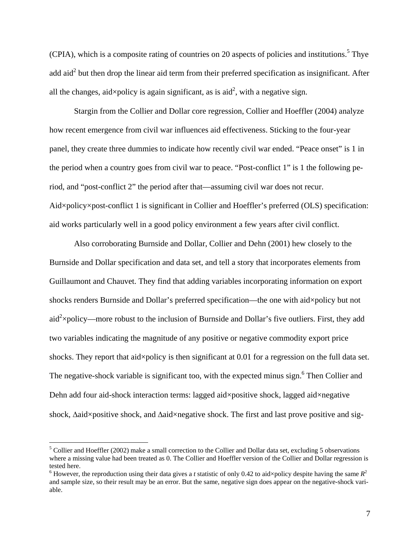(CPIA), which is a composite rating of countries on 20 aspects of policies and institutions.<sup>5</sup> Thye add aid<sup>2</sup> but then drop the linear aid term from their preferred specification as insignificant. After all the changes, aid $\times$ policy is again significant, as is aid<sup>2</sup>, with a negative sign.

Stargin from the Collier and Dollar core regression, Collier and Hoeffler (2004) analyze how recent emergence from civil war influences aid effectiveness. Sticking to the four-year panel, they create three dummies to indicate how recently civil war ended. "Peace onset" is 1 in the period when a country goes from civil war to peace. "Post-conflict 1" is 1 the following period, and "post-conflict 2" the period after that—assuming civil war does not recur. Aid×policy×post-conflict 1 is significant in Collier and Hoeffler's preferred (OLS) specification: aid works particularly well in a good policy environment a few years after civil conflict.

Also corroborating Burnside and Dollar, Collier and Dehn (2001) hew closely to the Burnside and Dollar specification and data set, and tell a story that incorporates elements from Guillaumont and Chauvet. They find that adding variables incorporating information on export shocks renders Burnside and Dollar's preferred specification—the one with aid×policy but not aid<sup>2</sup> $\times$ policy—more robust to the inclusion of Burnside and Dollar's five outliers. First, they add two variables indicating the magnitude of any positive or negative commodity export price shocks. They report that aid×policy is then significant at 0.01 for a regression on the full data set. The negative-shock variable is significant too, with the expected minus sign.<sup>6</sup> Then Collier and Dehn add four aid-shock interaction terms: lagged aid×positive shock, lagged aid×negative shock, Δaid×positive shock, and Δaid×negative shock. The first and last prove positive and sig-

 $<sup>5</sup>$  Collier and Hoeffler (2002) make a small correction to the Collier and Dollar data set, excluding 5 observations</sup> where a missing value had been treated as 0. The Collier and Hoeffler version of the Collier and Dollar regression is tested here.

<sup>&</sup>lt;sup>6</sup> However, the reproduction using their data gives a *t* statistic of only 0.42 to aid×policy despite having the same  $R^2$ and sample size, so their result may be an error. But the same, negative sign does appear on the negative-shock variable.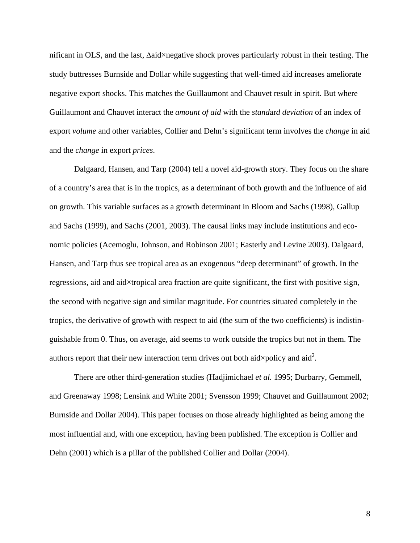nificant in OLS, and the last, Δaid×negative shock proves particularly robust in their testing. The study buttresses Burnside and Dollar while suggesting that well-timed aid increases ameliorate negative export shocks. This matches the Guillaumont and Chauvet result in spirit. But where Guillaumont and Chauvet interact the *amount of aid* with the *stand*ar*d deviation* of an index of export *volume* and other variables, Collier and Dehn's significant term involves the *change* in aid and the *change* in export *prices*.

Dalgaard, Hansen, and Tarp (2004) tell a novel aid-growth story. They focus on the share of a country's area that is in the tropics, as a determinant of both growth and the influence of aid on growth. This variable surfaces as a growth determinant in Bloom and Sachs (1998), Gallup and Sachs (1999), and Sachs (2001, 2003). The causal links may include institutions and economic policies (Acemoglu, Johnson, and Robinson 2001; Easterly and Levine 2003). Dalgaard, Hansen, and Tarp thus see tropical area as an exogenous "deep determinant" of growth. In the regressions, aid and aid×tropical area fraction are quite significant, the first with positive sign, the second with negative sign and similar magnitude. For countries situated completely in the tropics, the derivative of growth with respect to aid (the sum of the two coefficients) is indistinguishable from 0. Thus, on average, aid seems to work outside the tropics but not in them. The authors report that their new interaction term drives out both aid $\times$ policy and aid<sup>2</sup>.

There are other third-generation studies (Hadjimichael *et al.* 1995; Durbarry, Gemmell, and Greenaway 1998; Lensink and White 2001; Svensson 1999; Chauvet and Guillaumont 2002; Burnside and Dollar 2004). This paper focuses on those already highlighted as being among the most influential and, with one exception, having been published. The exception is Collier and Dehn (2001) which is a pillar of the published Collier and Dollar (2004).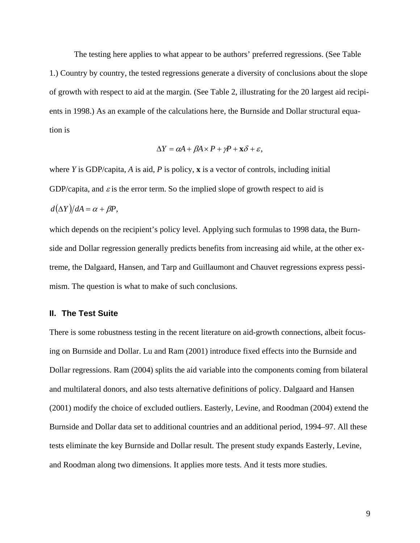The testing here applies to what appear to be authors' preferred regressions. (See Table 1.) Country by country, the tested regressions generate a diversity of conclusions about the slope of growth with respect to aid at the margin. (See Table 2, illustrating for the 20 largest aid recipients in 1998.) As an example of the calculations here, the Burnside and Dollar structural equation is

$$
\Delta Y = \alpha A + \beta A \times P + \gamma P + \mathbf{x} \delta + \varepsilon,
$$

where *Y* is GDP/capita, *A* is aid, *P* is policy, **x** is a vector of controls, including initial GDP/capita, and  $\varepsilon$  is the error term. So the implied slope of growth respect to aid is

$$
d(\Delta Y)/dA = \alpha + \beta P,
$$

which depends on the recipient's policy level. Applying such formulas to 1998 data, the Burnside and Dollar regression generally predicts benefits from increasing aid while, at the other extreme, the Dalgaard, Hansen, and Tarp and Guillaumont and Chauvet regressions express pessimism. The question is what to make of such conclusions.

### **II. The Test Suite**

There is some robustness testing in the recent literature on aid-growth connections, albeit focusing on Burnside and Dollar. Lu and Ram (2001) introduce fixed effects into the Burnside and Dollar regressions. Ram (2004) splits the aid variable into the components coming from bilateral and multilateral donors, and also tests alternative definitions of policy. Dalgaard and Hansen (2001) modify the choice of excluded outliers. Easterly, Levine, and Roodman (2004) extend the Burnside and Dollar data set to additional countries and an additional period, 1994–97. All these tests eliminate the key Burnside and Dollar result. The present study expands Easterly, Levine, and Roodman along two dimensions. It applies more tests. And it tests more studies.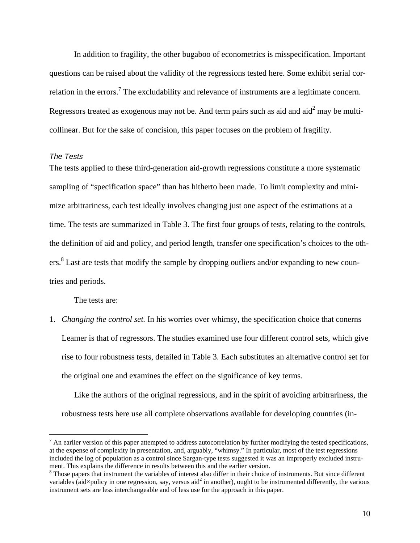In addition to fragility, the other bugaboo of econometrics is misspecification. Important questions can be raised about the validity of the regressions tested here. Some exhibit serial correlation in the errors.<sup>7</sup> The excludability and relevance of instruments are a legitimate concern. Regressors treated as exogenous may not be. And term pairs such as aid and aid<sup>2</sup> may be multicollinear. But for the sake of concision, this paper focuses on the problem of fragility.

### *The Tests*

<u>.</u>

The tests applied to these third-generation aid-growth regressions constitute a more systematic sampling of "specification space" than has hitherto been made. To limit complexity and minimize arbitrariness, each test ideally involves changing just one aspect of the estimations at a time. The tests are summarized in Table 3. The first four groups of tests, relating to the controls, the definition of aid and policy, and period length, transfer one specification's choices to the others.<sup>8</sup> Last are tests that modify the sample by dropping outliers and/or expanding to new countries and periods.

The tests are:

1. *Changing the control set.* In his worries over whimsy, the specification choice that conerns Leamer is that of regressors. The studies examined use four different control sets, which give rise to four robustness tests, detailed in Table 3. Each substitutes an alternative control set for the original one and examines the effect on the significance of key terms.

 Like the authors of the original regressions, and in the spirit of avoiding arbitrariness, the robustness tests here use all complete observations available for developing countries (in-

 $<sup>7</sup>$  An earlier version of this paper attempted to address autocorrelation by further modifying the tested specifications,</sup> at the expense of complexity in presentation, and, arguably, "whimsy." In particular, most of the test regressions included the log of population as a control since Sargan-type tests suggested it was an improperly excluded instrument. This explains the difference in results between this and the earlier version. 8

 $8$  Those papers that instrument the variables of interest also differ in their choice of instruments. But since different variables (aid $\times$ policy in one regression, say, versus aid<sup>2</sup> in another), ought to be instrumented differently, the various instrument sets are less interchangeable and of less use for the approach in this paper.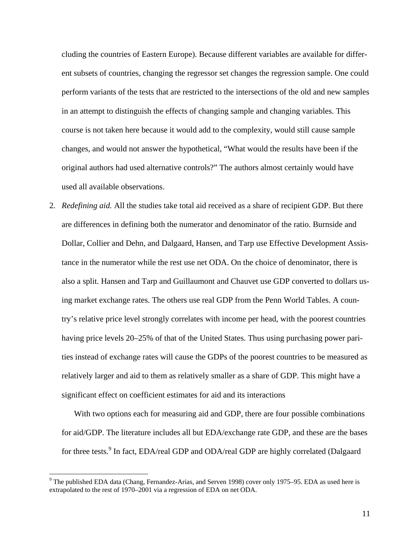cluding the countries of Eastern Europe). Because different variables are available for different subsets of countries, changing the regressor set changes the regression sample. One could perform variants of the tests that are restricted to the intersections of the old and new samples in an attempt to distinguish the effects of changing sample and changing variables. This course is not taken here because it would add to the complexity, would still cause sample changes, and would not answer the hypothetical, "What would the results have been if the original authors had used alternative controls?" The authors almost certainly would have used all available observations.

2. *Redefining aid.* All the studies take total aid received as a share of recipient GDP. But there are differences in defining both the numerator and denominator of the ratio. Burnside and Dollar, Collier and Dehn, and Dalgaard, Hansen, and Tarp use Effective Development Assistance in the numerator while the rest use net ODA. On the choice of denominator, there is also a split. Hansen and Tarp and Guillaumont and Chauvet use GDP converted to dollars using market exchange rates. The others use real GDP from the Penn World Tables. A country's relative price level strongly correlates with income per head, with the poorest countries having price levels 20–25% of that of the United States. Thus using purchasing power parities instead of exchange rates will cause the GDPs of the poorest countries to be measured as relatively larger and aid to them as relatively smaller as a share of GDP. This might have a significant effect on coefficient estimates for aid and its interactions

 With two options each for measuring aid and GDP, there are four possible combinations for aid/GDP. The literature includes all but EDA/exchange rate GDP, and these are the bases for three tests.<sup>9</sup> In fact, EDA/real GDP and ODA/real GDP are highly correlated (Dalgaard

<sup>&</sup>lt;sup>9</sup> The published EDA data (Chang, Fernandez-Arias, and Serven 1998) cover only 1975–95. EDA as used here is extrapolated to the rest of 1970–2001 via a regression of EDA on net ODA.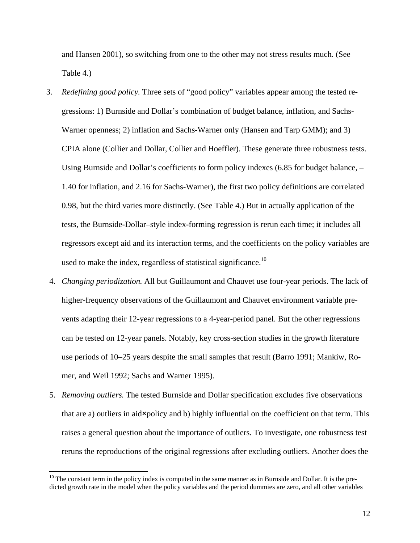and Hansen 2001), so switching from one to the other may not stress results much. (See Table 4.)

- 3. *Redefining good policy.* Three sets of "good policy" variables appear among the tested regressions: 1) Burnside and Dollar's combination of budget balance, inflation, and Sachs-Warner openness; 2) inflation and Sachs-Warner only (Hansen and Tarp GMM); and 3) CPIA alone (Collier and Dollar, Collier and Hoeffler). These generate three robustness tests. Using Burnside and Dollar's coefficients to form policy indexes (6.85 for budget balance, – 1.40 for inflation, and 2.16 for Sachs-Warner), the first two policy definitions are correlated 0.98, but the third varies more distinctly. (See Table 4.) But in actually application of the tests, the Burnside-Dollar–style index-forming regression is rerun each time; it includes all regressors except aid and its interaction terms, and the coefficients on the policy variables are used to make the index, regardless of statistical significance.<sup>10</sup>
- 4. *Changing periodization.* All but Guillaumont and Chauvet use four-year periods. The lack of higher-frequency observations of the Guillaumont and Chauvet environment variable prevents adapting their 12-year regressions to a 4-year-period panel. But the other regressions can be tested on 12-year panels. Notably, key cross-section studies in the growth literature use periods of 10–25 years despite the small samples that result (Barro 1991; Mankiw, Romer, and Weil 1*9*92; Sachs and Warner 1995).
- 5. *Removing outliers.* The tested Burnside and Dollar specification excludes five observations that are a) outliers in aid×policy and b) highly influential on the coefficient on that term. This raises a general question about the importance of outliers. To investigate, one robustness test reruns the reproductions of the original regressions after excluding outliers. Another does the

 $10$  The constant term in the policy index is computed in the same manner as in Burnside and Dollar. It is the predicted growth rate in the model when the policy variables and the period dummies are zero, and all other variables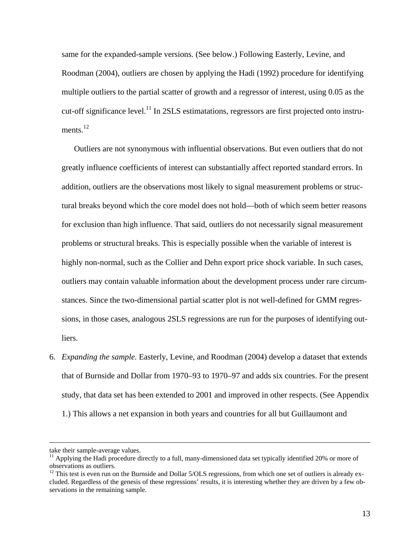same for the expanded-sample versions. (See below.) Following Easterly, Levine, and Roodman (2004), outliers are chosen by applying the Hadi (1992) procedure for identifying multiple outliers to the partial scatter of growth and a regressor of interest, using 0.05 as the cut-off significance level.<sup>11</sup> In 2SLS estimatations, regressors are first projected onto instruments.<sup>12</sup>

 Outliers are not synonymous with influential observations. But even outliers that do not greatly influence coefficients of interest can substantially affect reported standard errors. In addition, outliers are the observations most likely to signal measurement problems or structural breaks beyond which the core model does not hold—both of which seem better reasons for exclusion than high influence. That said, outliers do not necessarily signal measurement problems or structural breaks. This is especially possible when the variable of interest is highly non-normal, such as the Collier and Dehn export price shock variable. In such cases, outliers may contain valuable information about the development process under rare circumstances. Since the two-dimensional partial scatter plot is not well-defined for GMM regressions, in those cases, analogous 2SLS regressions are run for the purposes of identifying outliers.

6. *Expanding the sample.* Easterly, Levine, and Roodman (2004) develop a dataset that extends that of Burnside and Dollar from 1970–93 to 1970–97 and adds six countries. For the present study, that data set has been extended to 2001 and improved in other respects. (See Appendix 1.) This allows a net expansion in both years and countries for all but Guillaumont and

take their sample-average values.

 $11$  Applying the Hadi procedure directly to a full, many-dimensioned data set typically identified 20% or more of observations as outliers.

 $12$  This test is even run on the Burnside and Dollar  $5/OLS$  regressions, from which one set of outliers is already excluded. Regardless of the genesis of these regressions' results, it is interesting whether they are driven by a few observations in the remaining sample.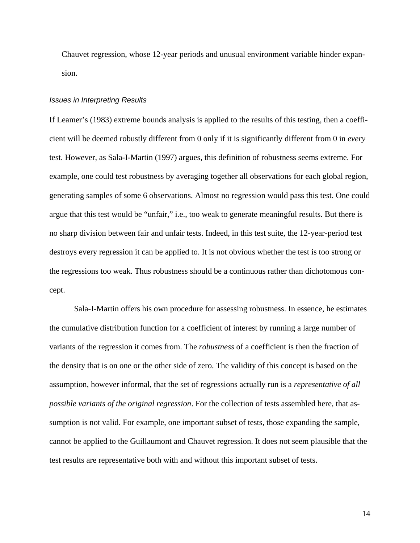Chauvet regression, whose 12-year periods and unusual environment variable hinder expansion.

#### *Issues in Interpreting Results*

If Leamer's (1983) extreme bounds analysis is applied to the results of this testing, then a coefficient will be deemed robustly different from 0 only if it is significantly different from 0 in *every* test. However, as Sala-I-Martin (1997) argues, this definition of robustness seems extreme. For example, one could test robustness by averaging together all observations for each global region, generating samples of some 6 observations. Almost no regression would pass this test. One could argue that this test would be "unfair," i.e., too weak to generate meaningful results. But there is no sharp division between fair and unfair tests. Indeed, in this test suite, the 12-year-period test destroys every regression it can be applied to. It is not obvious whether the test is too strong or the regressions too weak. Thus robustness should be a continuous rather than dichotomous concept.

Sala-I-Martin offers his own procedure for assessing robustness. In essence, he estimates the cumulative distribution function for a coefficient of interest by running a large number of variants of the regression it comes from. The *robustness* of a coefficient is then the fraction of the density that is on one or the other side of zero. The validity of this concept is based on the assumption, however informal, that the set of regressions actually run is a *representative of all possible variants of the original regression*. For the collection of tests assembled here, that assumption is not valid. For example, one important subset of tests, those expanding the sample, cannot be applied to the Guillaumont and Chauvet regression. It does not seem plausible that the test results are representative both with and without this important subset of tests.

14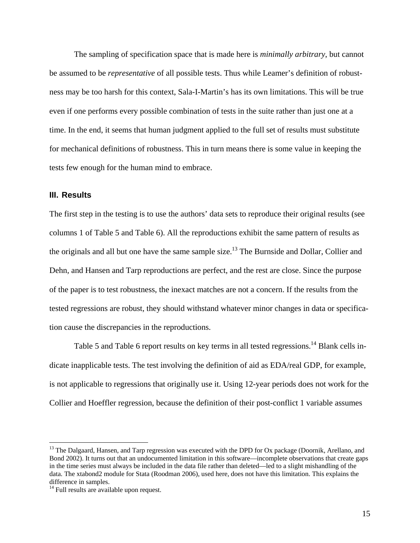The sampling of specification space that is made here is *minimally arbitrary*, but cannot be assumed to be *representative* of all possible tests. Thus while Leamer's definition of robustness may be too harsh for this context, Sala-I-Martin's has its own limitations. This will be true even if one performs every possible combination of tests in the suite rather than just one at a time. In the end, it seems that human judgment applied to the full set of results must substitute for mechanical definitions of robustness. This in turn means there is some value in keeping the tests few enough for the human mind to embrace.

### **III. Results**

The first step in the testing is to use the authors' data sets to reproduce their original results (see columns 1 of Table 5 and Table 6). All the reproductions exhibit the same pattern of results as the originals and all but one have the same sample size.<sup>13</sup> The Burnside and Dollar, Collier and Dehn, and Hansen and Tarp reproductions are perfect, and the rest are close. Since the purpose of the paper is to test robustness, the inexact matches are not a concern. If the results from the tested regressions are robust, they should withstand whatever minor changes in data or specification cause the discrepancies in the reproductions.

Table 5 and Table 6 report results on key terms in all tested regressions.<sup>14</sup> Blank cells indicate inapplicable tests. The test involving the definition of aid as EDA/real GDP, for example, is not applicable to regressions that originally use it. Using 12-year periods does not work for the Collier and Hoeffler regression, because the definition of their post-conflict 1 variable assumes

<sup>&</sup>lt;sup>13</sup> The Dalgaard, Hansen, and Tarp regression was executed with the DPD for Ox package (Doornik, Arellano, and Bond 2002). It turns out that an undocumented limitation in this software—incomplete observations that create gaps in the time series must always be included in the data file rather than deleted—led to a slight mishandling of the data. The xtabond2 module for Stata (Roodman 2006), used here, does not have this limitation. This explains the difference in samples.

<sup>&</sup>lt;sup>14</sup> Full results are available upon request.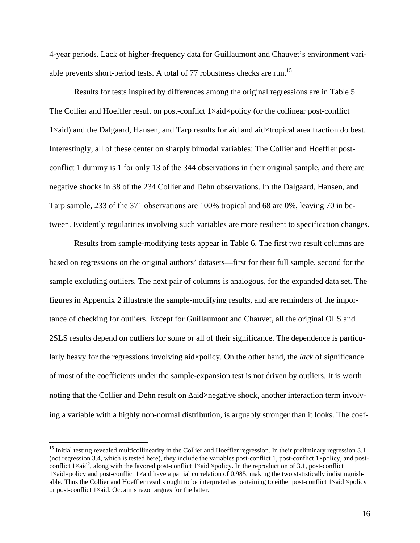4-year periods. Lack of higher-frequency data for Guillaumont and Chauvet's environment variable prevents short-period tests. A total of 77 robustness checks are run.<sup>15</sup>

Results for tests inspired by differences among the original regressions are in Table 5. The Collier and Hoeffler result on post-conflict 1×aid×policy (or the collinear post-conflict 1×aid) and the Dalgaard, Hansen, and Tarp results for aid and aid×tropical area fraction do best. Interestingly, all of these center on sharply bimodal variables: The Collier and Hoeffler postconflict 1 dummy is 1 for only 13 of the 344 observations in their original sample, and there are negative shocks in 38 of the 234 Collier and Dehn observations. In the Dalgaard, Hansen, and Tarp sample, 233 of the 371 observations are 100% tropical and 68 are 0%, leaving 70 in between. Evidently regularities involving such variables are more resilient to specification changes.

Results from sample-modifying tests appear in Table 6. The first two result columns are based on regressions on the original authors' datasets—first for their full sample, second for the sample excluding outliers. The next pair of columns is analogous, for the expanded data set. The figures in Appendix 2 illustrate the sample-modifying results, and are reminders of the importance of checking for outliers. Except for Guillaumont and Chauvet, all the original OLS and 2SLS results depend on outliers for some or all of their significance. The dependence is particularly heavy for the regressions involving aid×policy. On the other hand, the *lack* of significance of most of the coefficients under the sample-expansion test is not driven by outliers. It is worth noting that the Collier and Dehn result on Δaid×negative shock, another interaction term involving a variable with a highly non-normal distribution, is arguably stronger than it looks. The coef-

1

<sup>&</sup>lt;sup>15</sup> Initial testing revealed multicollinearity in the Collier and Hoeffler regression. In their preliminary regression 3.1 (not regression 3.4, which is tested here), they include the variables post-conflict 1, post-conflict 1×policy, and postconflict  $1 \times aid^2$ , along with the favored post-conflict  $1 \times aid \times policy$ . In the reproduction of 3.1, post-conflict 1×aid×policy and post-conflict 1×aid have a partial correlation of 0.985, making the two statistically indistinguishable. Thus the Collier and Hoeffler results ought to be interpreted as pertaining to either post-conflict 1×aid ×policy or post-conflict 1×aid. Occam's razor argues for the latter.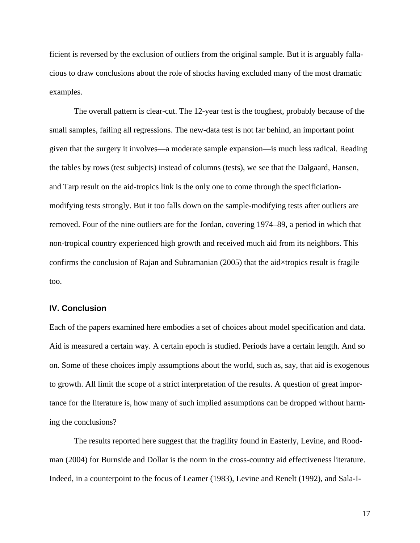ficient is reversed by the exclusion of outliers from the original sample. But it is arguably fallacious to draw conclusions about the role of shocks having excluded many of the most dramatic examples.

The overall pattern is clear-cut. The 12-year test is the toughest, probably because of the small samples, failing all regressions. The new-data test is not far behind, an important point given that the surgery it involves—a moderate sample expansion—is much less radical. Reading the tables by rows (test subjects) instead of columns (tests), we see that the Dalgaard, Hansen, and Tarp result on the aid-tropics link is the only one to come through the specificiationmodifying tests strongly. But it too falls down on the sample-modifying tests after outliers are removed. Four of the nine outliers are for the Jordan, covering 1974–89, a period in which that non-tropical country experienced high growth and received much aid from its neighbors. This confirms the conclusion of Rajan and Subramanian (2005) that the aid×tropics result is fragile too.

### **IV. Conclusion**

Each of the papers examined here embodies a set of choices about model specification and data. Aid is measured a certain way. A certain epoch is studied. Periods have a certain length. And so on. Some of these choices imply assumptions about the world, such as, say, that aid is exogenous to growth. All limit the scope of a strict interpretation of the results. A question of great importance for the literature is, how many of such implied assumptions can be dropped without harming the conclusions?

 The results reported here suggest that the fragility found in Easterly, Levine, and Roodman (2004) for Burnside and Dollar is the norm in the cross-country aid effectiveness literature. Indeed, in a counterpoint to the focus of Leamer (1983), Levine and Renelt (1992), and Sala-I-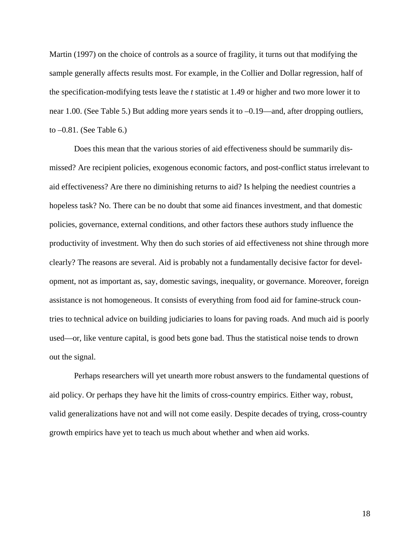Martin (1997) on the choice of controls as a source of fragility, it turns out that modifying the sample generally affects results most. For example, in the Collier and Dollar regression, half of the specification-modifying tests leave the *t* statistic at 1.49 or higher and two more lower it to near 1.00. (See Table 5.) But adding more years sends it to –0.19—and, after dropping outliers, to –0.81. (See Table 6.)

Does this mean that the various stories of aid effectiveness should be summarily dismissed? Are recipient policies, exogenous economic factors, and post-conflict status irrelevant to aid effectiveness? Are there no diminishing returns to aid? Is helping the neediest countries a hopeless task? No. There can be no doubt that some aid finances investment, and that domestic policies, governance, external conditions, and other factors these authors study influence the productivity of investment. Why then do such stories of aid effectiveness not shine through more clearly? The reasons are several. Aid is probably not a fundamentally decisive factor for development, not as important as, say, domestic savings, inequality, or governance. Moreover, foreign assistance is not homogeneous. It consists of everything from food aid for famine-struck countries to technical advice on building judiciaries to loans for paving roads. And much aid is poorly used—or, like venture capital, is good bets gone bad. Thus the statistical noise tends to drown out the signal.

Perhaps researchers will yet unearth more robust answers to the fundamental questions of aid policy. Or perhaps they have hit the limits of cross-country empirics. Either way, robust, valid generalizations have not and will not come easily. Despite decades of trying, cross-country growth empirics have yet to teach us much about whether and when aid works.

18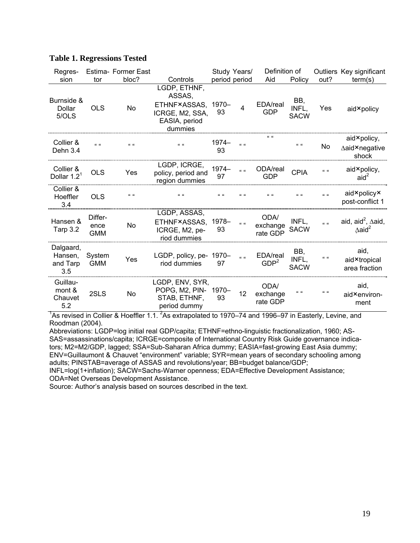| Regres-                                 |                               | Estima- Former East |                                                                                       |                   | Study Years/      | Definition of                                       |                                     |                   | Outliers Key significant                                           |
|-----------------------------------------|-------------------------------|---------------------|---------------------------------------------------------------------------------------|-------------------|-------------------|-----------------------------------------------------|-------------------------------------|-------------------|--------------------------------------------------------------------|
| sion                                    | tor                           | bloc?               | Controls                                                                              |                   | period period     | Aid                                                 | Policy                              | out?              | term(s)                                                            |
| Burnside &<br>Dollar<br>5/OLS           | <b>OLS</b>                    | No                  | LGDP, ETHNF,<br>ASSAS,<br>ETHNF×ASSAS,<br>ICRGE, M2, SSA,<br>EASIA, period<br>dummies | 1970-<br>93       | $\overline{4}$    | EDA/real<br><b>GDP</b>                              | BB,<br>INFL,<br><b>SACW</b>         | Yes               | aid × policy                                                       |
| Collier &<br>Dehn 3.4                   | $\alpha$ $\alpha$             | $66 - 66$           | $\alpha - \alpha$                                                                     | 1974-<br>93       | $\alpha$ $\alpha$ | $\overline{\mathbf{u}}$                             | $\epsilon\epsilon-\epsilon\epsilon$ | No                | aid×policy,<br>∆aid×negative<br>shock                              |
| Collier &<br>Dollar $1.21$              | <b>OLS</b>                    | Yes                 | LGDP, ICRGE,<br>policy, period and<br>region dummies                                  | 1974-<br>97       | $\mathbf{u}$      | ODA/real<br><b>GDP</b>                              | <b>CPIA</b>                         | $\alpha$ $\alpha$ | aid×policy,<br>aid <sup>2</sup>                                    |
| Collier &<br>Hoeffler<br>3.4            | <b>OLS</b>                    | $66 - 66$           | $66 - 66$                                                                             | $\alpha - \alpha$ | $\alpha$          | $\overline{\mathfrak{c}}$ $\overline{\mathfrak{c}}$ | $\alpha - \alpha$                   | $\alpha$ $\alpha$ | aid×policy×<br>post-conflict 1                                     |
| Hansen &<br>Tarp 3.2                    | Differ-<br>ence<br><b>GMM</b> | No                  | LGDP, ASSAS,<br>ETHNF×ASSAS.<br>ICRGE, M2, pe-<br>riod dummies                        | 1978-<br>93       | $\alpha - \alpha$ | ODA/<br>exchange<br>rate GDP                        | INFL.<br><b>SACW</b>                | $\alpha$ $\alpha$ | aid, aid <sup>2</sup> , $\Delta$ aid,<br>$\Delta$ aid <sup>2</sup> |
| Dalgaard,<br>Hansen,<br>and Tarp<br>3.5 | System<br><b>GMM</b>          | Yes                 | LGDP, policy, pe-<br>riod dummies                                                     | 1970-<br>97       | $\alpha$ $\alpha$ | EDA/real<br>GDP <sup>2</sup>                        | BB,<br>INFL,<br><b>SACW</b>         | $\alpha$ $\alpha$ | aid,<br>aid×tropical<br>area fraction                              |
| Guillau-<br>mont &<br>Chauvet<br>5.2    | 2SLS                          | No                  | LGDP, ENV, SYR,<br>POPG, M2, PIN-<br>STAB, ETHNF,<br>period dummy                     | 1970-<br>93       | 12                | <b>ODA</b><br>exchange<br>rate GDP                  | $\alpha - \alpha$                   | $66 - 66$         | aid,<br>aid <sup>×</sup> environ-<br>ment                          |

### **Table 1. Regressions Tested**

<sup>1</sup>As revised in Collier & Hoeffler 1.1. <sup>2</sup>As extrapolated to 1970–74 and 1996–97 in Easterly, Levine, and Roodman (2004).

Abbreviations: LGDP=log initial real GDP/capita; ETHNF=ethno-linguistic fractionalization, 1960; AS-SAS=assassinations/capita; ICRGE=composite of International Country Risk Guide governance indicators; M2=M2/GDP, lagged; SSA=Sub-Saharan Africa dummy; EASIA=fast-growing East Asia dummy; ENV=Guillaumont & Chauvet "environment" variable; SYR=mean years of secondary schooling among adults; PINSTAB=average of ASSAS and revolutions/year; BB=budget balance/GDP;

INFL=log(1+inflation); SACW=Sachs-Warner openness; EDA=Effective Development Assistance; ODA=Net Overseas Development Assistance.

Source: Author's analysis based on sources described in the text.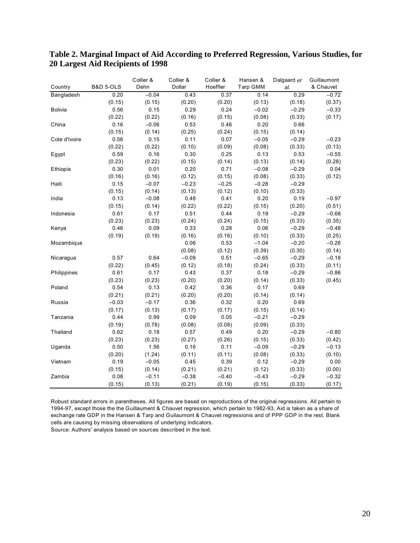|                |                      | Collier & | Collier & | Collier & | Hansen & | Dalgaard et | Guillaumont |
|----------------|----------------------|-----------|-----------|-----------|----------|-------------|-------------|
| Country        | <b>B&amp;D 5-OLS</b> | Dehn      | Dollar    | Hoeffler  | Tarp GMM | al.         | & Chauvet   |
| Bangladesh     | 0.20                 | $-0.04$   | 0.43      | 0.37      | 0.14     | 0.29        | $-0.72$     |
|                | (0.15)               | (0.15)    | (0.20)    | (0.20)    | (0.13)   | (0.18)      | (0.37)      |
| <b>Bolivia</b> | 0.56                 | 0.15      | 0.29      | 0.24      | $-0.02$  | $-0.29$     | $-0.33$     |
|                | (0.22)               | (0.22)    | (0.16)    | (0.15)    | (0.08)   | (0.33)      | (0.17)      |
| China          | 0.16                 | $-0.06$   | 0.53      | 0.46      | 0.20     | 0.66        |             |
|                | (0.15)               | (0.14)    | (0.25)    | (0.24)    | (0.15)   | (0.14)      |             |
| Cote d'Ivoire  | 0.56                 | 0.15      | 0.11      | 0.07      | $-0.05$  | $-0.29$     | $-0.23$     |
|                | (0.22)               | (0.22)    | (0.10)    | (0.09)    | (0.08)   | (0.33)      | (0.13)      |
| Egypt          | 0.59                 | 0.16      | 0.30      | 0.25      | 0.13     | 0.53        | $-0.55$     |
|                | (0.23)               | (0.22)    | (0.15)    | (0.14)    | (0.13)   | (0.14)      | (0.28)      |
| Ethiopia       | 0.30                 | 0.01      | 0.20      | 0.71      | $-0.08$  | $-0.29$     | 0.04        |
|                | (0.16)               | (0.16)    | (0.12)    | (0.15)    | (0.08)   | (0.33)      | (0.12)      |
| Haiti          | 0.15                 | $-0.07$   | $-0.23$   | $-0.25$   | $-0.28$  | $-0.29$     |             |
|                | (0.15)               | (0.14)    | (0.13)    | (0.12)    | (0.10)   | (0.33)      |             |
| India          | 0.13                 | $-0.08$   | 0.48      | 0.41      | 0.20     | 0.19        | $-0.97$     |
|                | (0.15)               | (0.14)    | (0.22)    | (0.22)    | (0.15)   | (0.20)      | (0.51)      |
| Indonesia      | 0.61                 | 0.17      | 0.51      | 0.44      | 0.19     | $-0.29$     | $-0.68$     |
|                | (0.23)               | (0.23)    | (0.24)    | (0.24)    | (0.15)   | (0.33)      | (0.35)      |
| Kenya          | 0.46                 | 0.09      | 0.33      | 0.28      | 0.06     | $-0.29$     | $-0.48$     |
|                | (0.19)               | (0.19)    | (0.16)    | (0.16)    | (0.10)   | (0.33)      | (0.25)      |
| Mozambique     |                      |           | 0.06      | 0.53      | $-1.04$  | $-0.20$     | $-0.26$     |
|                |                      |           | (0.08)    | (0.12)    | (0.39)   | (0.30)      | (0.14)      |
| Nicaragua      | 0.57                 | 0.64      | $-0.09$   | 0.51      | $-0.65$  | $-0.29$     | $-0.18$     |
|                | (0.22)               | (0.45)    | (0.12)    | (0.18)    | (0.24)   | (0.33)      | (0.11)      |
| Philippines    | 0.61                 | 0.17      | 0.43      | 0.37      | 0.18     | $-0.29$     | $-0.86$     |
|                | (0.23)               | (0.23)    | (0.20)    | (0.20)    | (0.14)   | (0.33)      | (0.45)      |
| Poland         | 0.54                 | 0.13      | 0.42      | 0.36      | 0.17     | 0.69        |             |
|                | (0.21)               | (0.21)    | (0.20)    | (0.20)    | (0.14)   | (0.14)      |             |
| Russia         | $-0.03$              | $-0.17$   | 0.36      | 0.32      | 0.20     | 0.69        |             |
|                | (0.17)               | (0.13)    | (0.17)    | (0.17)    | (0.15)   | (0.14)      |             |
| Tanzania       | 0.44                 | 0.99      | 0.09      | 0.05      | $-0.21$  | $-0.29$     |             |
|                | (0.19)               | (0.78)    | (0.08)    | (0.08)    | (0.09)   | (0.33)      |             |
| Thailand       | 0.62                 | 0.18      | 0.57      | 0.49      | 0.20     | $-0.29$     | $-0.80$     |
|                | (0.23)               | (0.23)    | (0.27)    | (0.26)    | (0.15)   | (0.33)      | (0.42)      |
| Uganda         | 0.50                 | 1.56      | 0.16      | 0.11      | $-0.09$  | $-0.29$     | $-0.13$     |
|                | (0.20)               | (1.24)    | (0.11)    | (0.11)    | (0.08)   | (0.33)      | (0.10)      |
| Vietnam        | 0.19                 | $-0.05$   | 0.45      | 0.39      | 0.12     | $-0.29$     | 0.00        |
|                | (0.15)               | (0.14)    | (0.21)    | (0.21)    | (0.12)   | (0.33)      | (0.00)      |
| Zambia         | 0.08                 | $-0.11$   | $-0.38$   | $-0.40$   | $-0.43$  | $-0.29$     | $-0.32$     |
|                | (0.15)               | (0.13)    | (0.21)    | (0.19)    | (0.15)   | (0.33)      | (0.17)      |

## **Table 2. Marginal Impact of Aid According to Preferred Regression, Various Studies, for 20 Largest Aid Recipients of 1998**

Robust standard errors in parentheses. All figures are based on reproductions of the original regressions. All pertain to 1994-97, except those the the Guillaument & Chauvet regression, which pertain to 1982-93. Aid is taken as a share of exchange rate GDP in the Hansen & Tarp and Guilaumont & Chauvet regressionis and of PPP GDP in the rest. Blank cells are causing by missing observations of underlying indicators.

Source: Authors' analysis based on sources described in the text.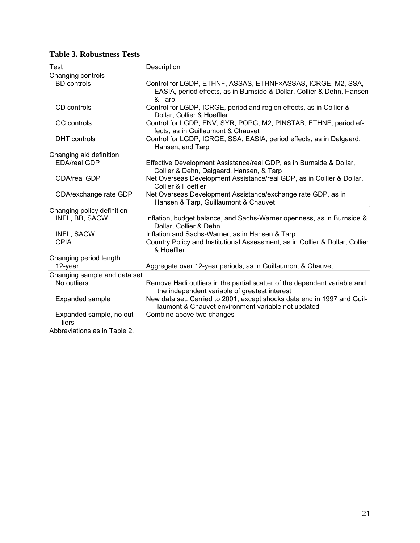| Test                                                             | Description                                                                                                                                      |
|------------------------------------------------------------------|--------------------------------------------------------------------------------------------------------------------------------------------------|
| Changing controls                                                |                                                                                                                                                  |
| <b>BD</b> controls                                               | Control for LGDP, ETHNF, ASSAS, ETHNF×ASSAS, ICRGE, M2, SSA,<br>EASIA, period effects, as in Burnside & Dollar, Collier & Dehn, Hansen<br>& Tarp |
| CD controls                                                      | Control for LGDP, ICRGE, period and region effects, as in Collier &<br>Dollar, Collier & Hoeffler                                                |
| <b>GC</b> controls                                               | Control for LGDP, ENV, SYR, POPG, M2, PINSTAB, ETHNF, period ef-<br>fects, as in Guillaumont & Chauvet                                           |
| <b>DHT</b> controls                                              | Control for LGDP, ICRGE, SSA, EASIA, period effects, as in Dalgaard,<br>Hansen, and Tarp                                                         |
| Changing aid definition                                          |                                                                                                                                                  |
| <b>EDA/real GDP</b>                                              | Effective Development Assistance/real GDP, as in Burnside & Dollar,<br>Collier & Dehn, Dalgaard, Hansen, & Tarp                                  |
| <b>ODA/real GDP</b>                                              | Net Overseas Development Assistance/real GDP, as in Collier & Dollar,<br>Collier & Hoeffler                                                      |
| ODA/exchange rate GDP                                            | Net Overseas Development Assistance/exchange rate GDP, as in<br>Hansen & Tarp, Guillaumont & Chauvet                                             |
| Changing policy definition                                       |                                                                                                                                                  |
| INFL, BB, SACW                                                   | Inflation, budget balance, and Sachs-Warner openness, as in Burnside &<br>Dollar, Collier & Dehn                                                 |
| INFL, SACW                                                       | Inflation and Sachs-Warner, as in Hansen & Tarp                                                                                                  |
| <b>CPIA</b>                                                      | Country Policy and Institutional Assessment, as in Collier & Dollar, Collier<br>& Hoeffler                                                       |
| Changing period length                                           |                                                                                                                                                  |
| 12-year                                                          | Aggregate over 12-year periods, as in Guillaumont & Chauvet                                                                                      |
| Changing sample and data set                                     |                                                                                                                                                  |
| No outliers                                                      | Remove Hadi outliers in the partial scatter of the dependent variable and<br>the independent variable of greatest interest                       |
| Expanded sample                                                  | New data set. Carried to 2001, except shocks data end in 1997 and Guil-<br>laumont & Chauvet environment variable not updated                    |
| Expanded sample, no out-<br>liers<br>Abbrovictions on in Table 2 | Combine above two changes                                                                                                                        |

# **Table 3. Robustness Tests**

Abbreviations as in Table 2.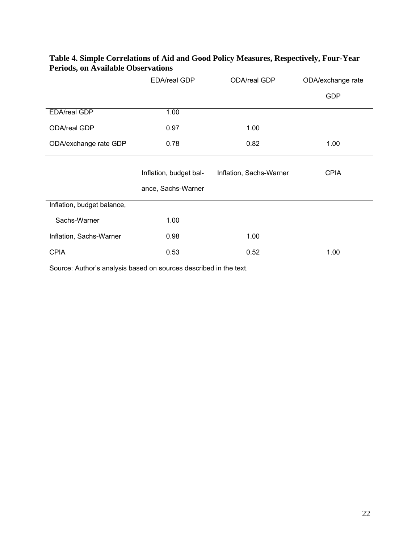| Table 4. Simple Correlations of Aid and Good Policy Measures, Respectively, Four-Year |  |
|---------------------------------------------------------------------------------------|--|
| <b>Periods, on Available Observations</b>                                             |  |

|                            | EDA/real GDP                                 | ODA/real GDP            | ODA/exchange rate |
|----------------------------|----------------------------------------------|-------------------------|-------------------|
|                            |                                              |                         | <b>GDP</b>        |
| <b>EDA/real GDP</b>        | 1.00                                         |                         |                   |
| ODA/real GDP               | 0.97                                         | 1.00                    |                   |
| ODA/exchange rate GDP      | 0.78                                         | 0.82                    | 1.00              |
|                            | Inflation, budget bal-<br>ance, Sachs-Warner | Inflation, Sachs-Warner | <b>CPIA</b>       |
| Inflation, budget balance, |                                              |                         |                   |
| Sachs-Warner               | 1.00                                         |                         |                   |
| Inflation, Sachs-Warner    | 0.98                                         | 1.00                    |                   |
| <b>CPIA</b>                | 0.53                                         | 0.52                    | 1.00              |

Source: Author's analysis based on sources described in the text.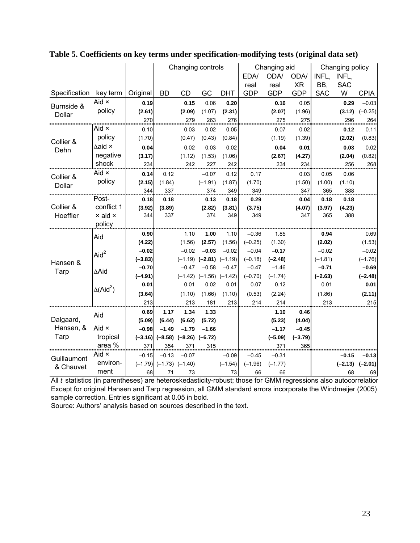|                          |                                          |                             | Changing controls           |                             | <b>EDA/</b><br>real            | Changing aid<br>ODA/<br>real | ODA/<br><b>XR</b>          | INFL,<br>BB,                | Changing policy<br>INFL,<br><b>SAC</b> |                       |                            |                             |
|--------------------------|------------------------------------------|-----------------------------|-----------------------------|-----------------------------|--------------------------------|------------------------------|----------------------------|-----------------------------|----------------------------------------|-----------------------|----------------------------|-----------------------------|
| Specification            | key term                                 | Original                    | BD                          | CD                          | GC                             | <b>DHT</b>                   | <b>GDP</b>                 | <b>GDP</b>                  | <b>GDP</b>                             | <b>SAC</b>            | W                          | <b>CPIA</b>                 |
| Burnside &<br>Dollar     | Aid $\times$<br>policy                   | 0.19<br>(2.61)<br>270       |                             | 0.15<br>(2.09)<br>279       | 0.06<br>(1.07)<br>263          | 0.20<br>(2.31)<br>276        |                            | 0.16<br>(2.07)<br>275       | 0.05<br>(1.96)<br>275                  |                       | 0.29<br>(3.12)<br>296      | $-0.03$<br>$(-0.25)$<br>264 |
| Collier &<br>Dehn        | Aid ×<br>policy<br>$\Delta$ aid ×        | 0.10<br>(1.70)<br>0.04      |                             | 0.03<br>(0.47)<br>0.02      | 0.02<br>(0.43)<br>0.03         | 0.05<br>(0.84)<br>0.02       |                            | 0.07<br>(1.19)<br>0.04      | 0.02<br>(1.39)<br>0.01                 |                       | 0.12<br>(2.02)<br>0.03     | 0.11<br>(0.83)<br>0.02      |
|                          | negative<br>shock                        | (3.17)<br>234               |                             | (1.12)<br>242               | (1.53)<br>227                  | (1.06)<br>242                |                            | (2.67)<br>234               | (4.27)<br>234                          |                       | (2.04)<br>256              | (0.82)<br>268               |
| Collier &<br>Dollar      | Aid $\times$<br>policy                   | 0.14<br>(2.15)<br>344       | 0.12<br>(1.84)<br>337       |                             | $-0.07$<br>$(-1.91)$<br>374    | 0.12<br>(1.87)<br>349        | 0.17<br>(1.70)<br>349      |                             | 0.03<br>(1.50)<br>347                  | 0.05<br>(1.00)<br>365 | 0.06<br>(1.10)<br>388      |                             |
| Collier &<br>Hoeffler    | Post-<br>conflict 1<br>× aid ×<br>policy | 0.18<br>(3.92)<br>344       | 0.18<br>(3.89)<br>337       |                             | 0.13<br>(2.82)<br>374          | 0.18<br>(3.81)<br>349        | 0.29<br>(3.75)<br>349      |                             | 0.04<br>(4.07)<br>347                  | 0.18<br>(3.97)<br>365 | 0.18<br>(4.23)<br>388      |                             |
|                          | Aid                                      | 0.90<br>(4.22)              |                             | 1.10<br>(1.56)              | 1.00<br>(2.57)                 | 1.10<br>(1.56)               | $-0.36$<br>$(-0.25)$       | 1.85<br>(1.30)              |                                        | 0.94<br>(2.02)        |                            | 0.69<br>(1.53)              |
| Hansen &                 | Aid <sup>2</sup>                         | $-0.02$<br>$(-3.83)$        |                             | $-0.02$<br>$(-1.19)$        | $-0.03$<br>$(-2.81)$ $(-1.19)$ | $-0.02$                      | $-0.04$<br>$(-0.18)$       | $-0.17$<br>$(-2.48)$        |                                        | $-0.02$<br>$(-1.81)$  |                            | $-0.02$<br>$(-1.76)$        |
| Tarp                     | ∆Aid                                     | $-0.70$<br>$(-4.91)$        |                             | $-0.47$                     | $-0.58$<br>$(-1.42)$ $(-1.56)$ | $-0.47$<br>$(-1.42)$         | $-0.47$<br>$(-0.70)$       | $-1.46$<br>$(-1.74)$        |                                        | $-0.71$<br>$(-2.63)$  |                            | $-0.69$<br>$(-2.48)$        |
|                          | $\Delta$ (Aid <sup>2</sup> )             | 0.01<br>(3.64)              |                             | 0.01<br>(1.10)              | 0.02<br>(1.66)                 | 0.01<br>(1.10)               | 0.07<br>(0.53)             | 0.12<br>(2.24)              |                                        | 0.01<br>(1.86)        |                            | 0.01<br>(2.11)              |
|                          |                                          | 213                         |                             | 213                         | 181                            | 213                          | 214                        | 214                         |                                        | 213                   |                            | 215                         |
| Dalgaard,                | Aid                                      | 0.69<br>(5.09)              | 1.17<br>(6.44)              | 1.34<br>(6.62)              | 1.33<br>(5.72)                 |                              |                            | 1.10<br>(5.23)              | 0.46<br>(4.04)                         |                       |                            |                             |
| Hansen, &<br><b>Tarp</b> | Aid $\times$<br>tropical<br>area %       | $-0.98$<br>$(-3.16)$<br>371 | $-1.49$<br>$(-8.58)$<br>354 | $-1.79$<br>$(-8.26)$<br>371 | $-1.66$<br>$(-6.72)$<br>315    |                              |                            | $-1.17$<br>$(-5.09)$<br>371 | $-0.45$<br>$(-3.79)$<br>365            |                       |                            |                             |
| Guillaumont<br>& Chauvet | Aid $\times$<br>environ-<br>ment         | $-0.15$<br>$(-1.79)$<br>68  | $-0.13$<br>$(-1.73)$<br>71  | $-0.07$<br>$(-1.40)$<br>73  |                                | $-0.09$<br>$(-1.54)$<br>73   | $-0.45$<br>$(-1.96)$<br>66 | $-0.31$<br>$(-1.77)$<br>66  |                                        |                       | $-0.15$<br>$(-2.13)$<br>68 | $-0.13$<br>$(-2.01)$<br>69  |

**Table 5. Coefficients on key terms under specification-modifying tests (original data set)** 

All *t* statistics (in parentheses) are heteroskedasticity-robust; those for GMM regressions also autocorrelation Except for original Hansen and Tarp regression, all GMM standard errors incorporate the Windmeijer (2005) sample correction. Entries significant at 0.05 in bold.

Source: Authors' analysis based on sources described in the text.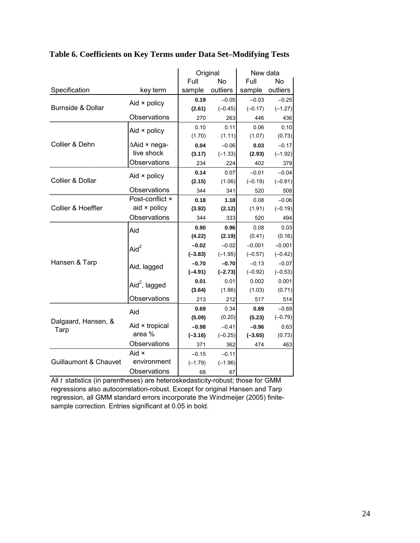|                                  |                           | Original  |           | New data  |           |
|----------------------------------|---------------------------|-----------|-----------|-----------|-----------|
|                                  |                           | Full      | No        | Full      | No        |
| Specification                    | key term                  | sample    | outliers  | sample    | outliers  |
|                                  | Aid $\times$ policy       | 0.19      | $-0.05$   | $-0.03$   | $-0.25$   |
| Burnside & Dollar                |                           | (2.61)    | $(-0.45)$ | $(-0.17)$ | $(-1.27)$ |
|                                  | Observations              | 270       | 263       | 446       | 436       |
|                                  | Aid $\times$ policy       | 0.10      | 0.11      | 0.06      | 0.10      |
|                                  |                           | (1.70)    | (1.11)    | (1.07)    | (0.73)    |
| Collier & Dehn                   | $\triangle$ Aid × nega-   | 0.04      | $-0.06$   | 0.03      | $-0.17$   |
|                                  | tive shock                | (3.17)    | $(-1.33)$ | (2.93)    | $(-1.92)$ |
|                                  | Observations              | 234       | 224       | 402       | 379       |
|                                  | Aid $\times$ policy       | 0.14      | 0.07      | $-0.01$   | $-0.04$   |
| Collier & Dollar                 |                           | (2.15)    | (1.06)    | $(-0.19)$ | $(-0.81)$ |
|                                  | Observations              | 344       | 341       | 520       | 508       |
|                                  | Post-conflict ×           | 0.18      | 1.18      | 0.08      | $-0.06$   |
| Collier & Hoeffler               | aid $\times$ policy       | (3.92)    | (2.12)    | (1.91)    | $(-0.19)$ |
|                                  | Observations              | 344       | 333       | 520       | 494       |
|                                  | Aid                       | 0.90      | 0.96      | 0.08      | 0.03      |
|                                  |                           | (4.22)    | (2.19)    | (0.41)    | (0.16)    |
|                                  | Aid $^2$                  | $-0.02$   | $-0.02$   | $-0.001$  | $-0.001$  |
|                                  |                           | $(-3.83)$ | $(-1.95)$ | $(-0.57)$ | $(-0.42)$ |
| Hansen & Tarp                    | Aid, lagged               | $-0.70$   | $-0.70$   | $-0.13$   | $-0.07$   |
|                                  |                           | $(-4.91)$ | $(-2.73)$ | $(-0.92)$ | $(-0.53)$ |
|                                  | Aid <sup>2</sup> , lagged | 0.01      | 0.01      | 0.002     | 0.001     |
|                                  |                           | (3.64)    | (1.86)    | (1.03)    | (0.71)    |
|                                  | Observations              | 213       | 212       | 517       | 514       |
|                                  | Aid                       | 0.69      | 0.34      | 0.89      | $-0.69$   |
| Dalgaard, Hansen, &              |                           | (5.09)    | (0.20)    | (5.23)    | $(-0.79)$ |
| Tarp                             | Aid × tropical            | $-0.98$   | $-0.41$   | $-0.96$   | 0.63      |
|                                  | area %                    | $(-3.16)$ | $(-0.25)$ | $(-3.65)$ | (0.73)    |
|                                  | Observations              | 371       | 362       | 474       | 463       |
|                                  | Aid ×                     | $-0.15$   | $-0.11$   |           |           |
| <b>Guillaumont &amp; Chauvet</b> | environment               | $(-1.79)$ | $(-1.96)$ |           |           |
|                                  | Observations              | 68        | 67        |           |           |

# **Table 6. Coefficients on Key Terms under Data Set–Modifying Tests**

All *t* statistics (in parentheses) are heteroskedasticity-robust; those for GMM regressions also autocorrelation-robust. Except for original Hansen and Tarp regression, all GMM standard errors incorporate the Windmeijer (2005) finitesample correction. Entries significant at 0.05 in bold.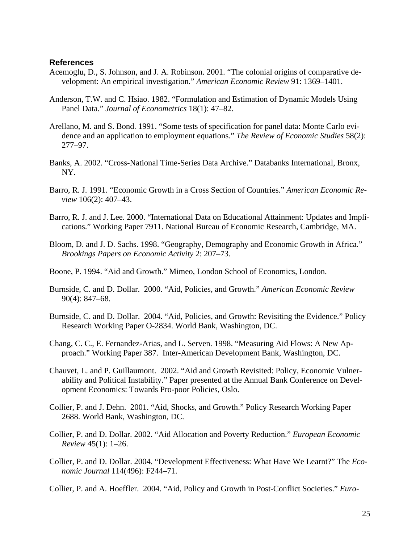#### **References**

- Acemoglu, D., S. Johnson, and J. A. Robinson. 2001. "The colonial origins of comparative development: An empirical investigation." *American Economic Review* 91: 1369–1401.
- Anderson, T.W. and C. Hsiao. 1982. "Formulation and Estimation of Dynamic Models Using Panel Data." *Journal of Econometrics* 18(1): 47–82.
- Arellano, M. and S. Bond. 1991. "Some tests of specification for panel data: Monte Carlo evidence and an application to employment equations." *The Review of Economic Studies* 58(2): 277–97.
- Banks, A. 2002. "Cross-National Time-Series Data Archive." Databanks International, Bronx, NY.
- Barro, R. J. 1991. "Economic Growth in a Cross Section of Countries." *American Economic Review* 106(2): 407–43.
- Barro, R. J. and J. Lee. 2000. "International Data on Educational Attainment: Updates and Implications." Working Paper 7911. National Bureau of Economic Research, Cambridge, MA.
- Bloom, D. and J. D. Sachs. 1998. "Geography, Demography and Economic Growth in Africa." *Brookings Papers on Economic Activity* 2: 207–73.
- Boone, P. 1994. "Aid and Growth." Mimeo, London School of Economics, London.
- Burnside, C. and D. Dollar. 2000. "Aid, Policies, and Growth." *American Economic Review* 90(4): 847–68.
- Burnside, C. and D. Dollar. 2004. "Aid, Policies, and Growth: Revisiting the Evidence." Policy Research Working Paper O-2834. World Bank, Washington, DC.
- Chang, C. C., E. Fernandez-Arias, and L. Serven. 1998. "Measuring Aid Flows: A New Approach." Working Paper 387. Inter-American Development Bank, Washington, DC.
- Chauvet, L. and P. Guillaumont. 2002. "Aid and Growth Revisited: Policy, Economic Vulnerability and Political Instability." Paper presented at the Annual Bank Conference on Development Economics: Towards Pro-poor Policies, Oslo.
- Collier, P. and J. Dehn. 2001. "Aid, Shocks, and Growth." Policy Research Working Paper 2688. World Bank, Washington, DC.
- Collier, P. and D. Dollar. 2002. "Aid Allocation and Poverty Reduction." *European Economic Review* 45(1): 1–26.
- Collier, P. and D. Dollar. 2004. "Development Effectiveness: What Have We Learnt?" The *Economic Journal* 114(496): F244–71.
- Collier, P. and A. Hoeffler. 2004. "Aid, Policy and Growth in Post-Conflict Societies." *Euro-*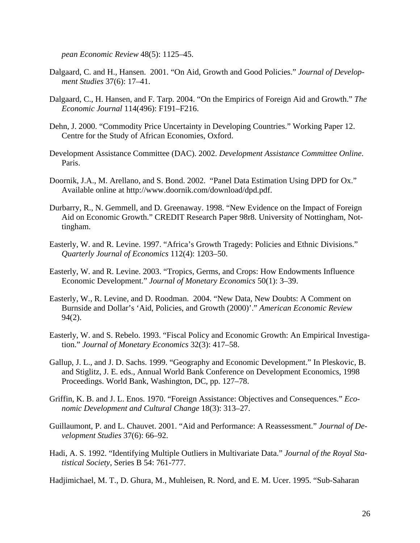*pean Economic Review* 48(5): 1125–45.

- Dalgaard, C. and H., Hansen. 2001. "On Aid, Growth and Good Policies." *Journal of Development Studies* 37(6): 17–41.
- Dalgaard, C., H. Hansen, and F. Tarp. 2004. "On the Empirics of Foreign Aid and Growth." *The Economic Journal* 114(496): F191–F216.
- Dehn, J. 2000. "Commodity Price Uncertainty in Developing Countries." Working Paper 12. Centre for the Study of African Economies, Oxford.
- Development Assistance Committee (DAC). 2002. *Development Assistance Committee Online*. Paris.
- Doornik, J.A., M. Arellano, and S. Bond. 2002. "Panel Data Estimation Using DPD for Ox." Available online at http://www.doornik.com/download/dpd.pdf.
- Durbarry, R., N. Gemmell, and D. Greenaway. 1998. "New Evidence on the Impact of Foreign Aid on Economic Growth." CREDIT Research Paper 98r8. University of Nottingham, Nottingham.
- Easterly, W. and R. Levine. 1997. "Africa's Growth Tragedy: Policies and Ethnic Divisions." *Quarterly Journal of Economics* 112(4): 1203–50.
- Easterly, W. and R. Levine. 2003. "Tropics, Germs, and Crops: How Endowments Influence Economic Development." *Journal of Monetary Economics* 50(1): 3–39.
- Easterly, W., R. Levine, and D. Roodman. 2004. "New Data, New Doubts: A Comment on Burnside and Dollar's 'Aid, Policies, and Growth (2000)'." *American Economic Review* 94(2).
- Easterly, W. and S. Rebelo. 1993. "Fiscal Policy and Economic Growth: An Empirical Investigation." *Journal of Monetary Economics* 32(3): 417–58.
- Gallup, J. L., and J. D. Sachs. 1999. "Geography and Economic Development." In Pleskovic, B. and Stiglitz, J. E. eds., Annual World Bank Conference on Development Economics, 1998 Proceedings. World Bank, Washington, DC, pp. 127–78.
- Griffin, K. B. and J. L. Enos. 1970. "Foreign Assistance: Objectives and Consequences." *Economic Development and Cultural Change* 18(3): 313–27.
- Guillaumont, P. and L. Chauvet. 2001. "Aid and Performance: A Reassessment." *Journal of Development Studies* 37(6): 66–92.
- Hadi, A. S. 1992. "Identifying Multiple Outliers in Multivariate Data." *Journal of the Royal Statistical Society*, Series B 54: 761-777.

Hadjimichael, M. T., D. Ghura, M., Muhleisen, R. Nord, and E. M. Ucer. 1995. "Sub-Saharan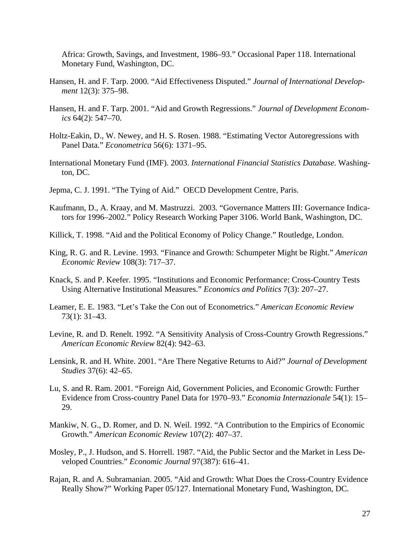Africa: Growth, Savings, and Investment, 1986–93." Occasional Paper 118. International Monetary Fund, Washington, DC.

- Hansen, H. and F. Tarp. 2000. "Aid Effectiveness Disputed." *Journal of International Development* 12(3): 375–98.
- Hansen, H. and F. Tarp. 2001. "Aid and Growth Regressions." *Journal of Development Economics* 64(2): 547–70.
- Holtz-Eakin, D., W. Newey, and H. S. Rosen. 1988. "Estimating Vector Autoregressions with Panel Data." *Econometrica* 56(6): 1371–95.
- International Monetary Fund (IMF). 2003. *International Financial Statistics Database*. Washington, DC.
- Jepma, C. J. 1991. "The Tying of Aid." OECD Development Centre, Paris.
- Kaufmann, D., A. Kraay, and M. Mastruzzi. 2003. "Governance Matters III: Governance Indicators for 1996–2002." Policy Research Working Paper 3106. World Bank, Washington, DC.
- Killick, T. 1998. "Aid and the Political Economy of Policy Change." Routledge, London.
- King, R. G. and R. Levine. 1993. "Finance and Growth: Schumpeter Might be Right." *American Economic Review* 108(3): 717–37.
- Knack, S. and P. Keefer. 1995. "Institutions and Economic Performance: Cross-Country Tests Using Alternative Institutional Measures." *Economics and Politics* 7(3): 207–27.
- Leamer, E. E. 1983. "Let's Take the Con out of Econometrics." *American Economic Review* 73(1): 31–43.
- Levine, R. and D. Renelt. 1992. "A Sensitivity Analysis of Cross-Country Growth Regressions." *American Economic Review* 82(4): 942–63.
- Lensink, R. and H. White. 2001. "Are There Negative Returns to Aid?" *Journal of Development Studies* 37(6): 42–65.
- Lu, S. and R. Ram. 2001. "Foreign Aid, Government Policies, and Economic Growth: Further Evidence from Cross-country Panel Data for 1970–93." *Economia Internazionale* 54(1): 15– 29.
- Mankiw, N. G., D. Romer, and D. N. Weil. 1992. "A Contribution to the Empirics of Economic Growth." *American Economic Review* 107(2): 407–37.
- Mosley, P., J. Hudson, and S. Horrell. 1987. "Aid, the Public Sector and the Market in Less Developed Countries." *Economic Journal* 97(387): 616–41.
- Rajan, R. and A. Subramanian. 2005. "Aid and Growth: What Does the Cross-Country Evidence Really Show?" Working Paper 05/127. International Monetary Fund, Washington, DC.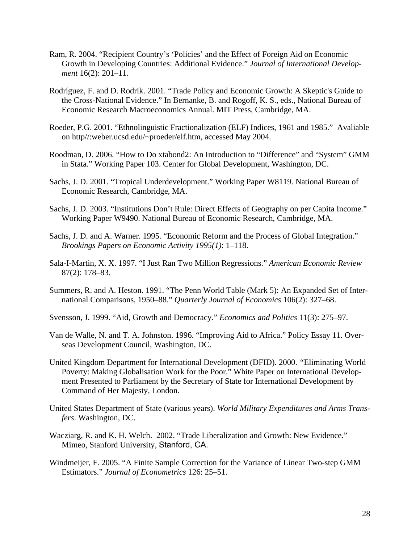- Ram, R. 2004. "Recipient Country's 'Policies' and the Effect of Foreign Aid on Economic Growth in Developing Countries: Additional Evidence." *Journal of International Development* 16(2): 201–11.
- Rodríguez, F. and D. Rodrik. 2001. "Trade Policy and Economic Growth: A Skeptic's Guide to the Cross-National Evidence." In Bernanke, B. and Rogoff, K. S., eds., National Bureau of Economic Research Macroeconomics Annual. MIT Press, Cambridge, MA.
- Roeder, P.G. 2001. "Ethnolinguistic Fractionalization (ELF) Indices, 1961 and 1985." Avaliable on http//:weber.ucsd.edu/~proeder/elf.htm, accessed May 2004.
- Roodman, D. 2006. "How to Do xtabond2: An Introduction to "Difference" and "System" GMM in Stata." Working Paper 103. Center for Global Development, Washington, DC.
- Sachs, J. D. 2001. "Tropical Underdevelopment." Working Paper W8119. National Bureau of Economic Research, Cambridge, MA.
- Sachs, J. D. 2003. "Institutions Don't Rule: Direct Effects of Geography on per Capita Income." Working Paper W9490. National Bureau of Economic Research, Cambridge, MA.
- Sachs, J. D. and A. Warner. 1995. "Economic Reform and the Process of Global Integration." *Brookings Papers on Economic Activity 1995(1)*: 1–118.
- Sala-I-Martin, X. X. 1997. "I Just Ran Two Million Regressions." *American Economic Review* 87(2): 178–83.
- Summers, R. and A. Heston. 1991. "The Penn World Table (Mark 5): An Expanded Set of International Comparisons, 1950–88." *Quarterly Journal of Economics* 106(2): 327–68.
- Svensson, J. 1999. "Aid, Growth and Democracy." *Economics and Politics* 11(3): 275–97.
- Van de Walle, N. and T. A. Johnston. 1996. "Improving Aid to Africa." Policy Essay 11. Overseas Development Council, Washington, DC.
- United Kingdom Department for International Development (DFID). 2000. *"*Eliminating World Poverty: Making Globalisation Work for the Poor." White Paper on International Development Presented to Parliament by the Secretary of State for International Development by Command of Her Majesty, London.
- United States Department of State (various years). *World Military Expenditures and Arms Transfers*. Washington, DC.
- Wacziarg, R. and K. H. Welch. 2002. "Trade Liberalization and Growth: New Evidence." Mimeo, Stanford University, Stanford, CA.
- Windmeijer, F. 2005. "A Finite Sample Correction for the Variance of Linear Two-step GMM Estimators." *Journal of Econometrics* 126: 25–51.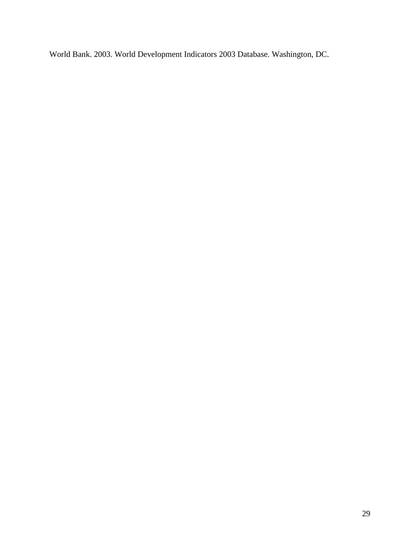World Bank. 2003. World Development Indicators 2003 Database. Washington, DC.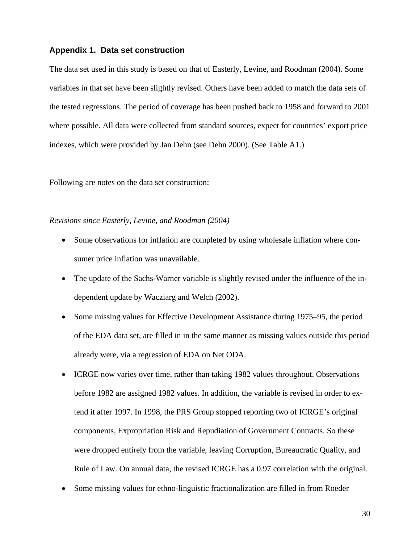### **Appendix 1. Data set construction**

The data set used in this study is based on that of Easterly, Levine, and Roodman (2004). Some variables in that set have been slightly revised. Others have been added to match the data sets of the tested regressions. The period of coverage has been pushed back to 1958 and forward to 2001 where possible. All data were collected from standard sources, expect for countries' export price indexes, which were provided by Jan Dehn (see Dehn 2000). (See Table A1.)

Following are notes on the data set construction:

#### *Revisions since Easterly, Levine, and Roodman (2004)*

- Some observations for inflation are completed by using wholesale inflation where consumer price inflation was unavailable.
- The update of the Sachs-Warner variable is slightly revised under the influence of the independent update by Wacziarg and Welch (2002).
- Some missing values for Effective Development Assistance during 1975–95, the period of the EDA data set, are filled in in the same manner as missing values outside this period already were, via a regression of EDA on Net ODA.
- ICRGE now varies over time, rather than taking 1982 values throughout. Observations before 1982 are assigned 1982 values. In addition, the variable is revised in order to extend it after 1997. In 1998, the PRS Group stopped reporting two of ICRGE's original components, Expropriation Risk and Repudiation of Government Contracts. So these were dropped entirely from the variable, leaving Corruption, Bureaucratic Quality, and Rule of Law. On annual data, the revised ICRGE has a 0.97 correlation with the original.
- Some missing values for ethno-linguistic fractionalization are filled in from Roeder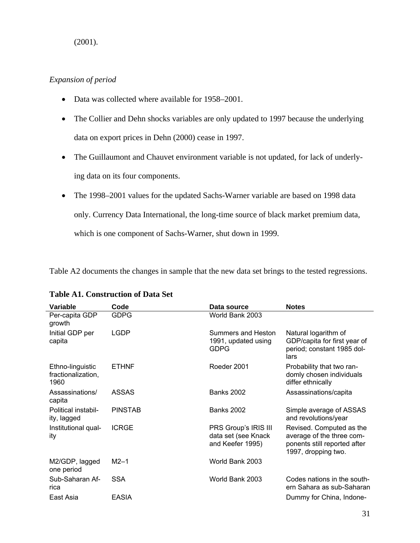### (2001).

### *Expansion of period*

- Data was collected where available for 1958–2001.
- The Collier and Dehn shocks variables are only updated to 1997 because the underlying data on export prices in Dehn (2000) cease in 1997.
- The Guillaumont and Chauvet environment variable is not updated, for lack of underlying data on its four components.
- The 1998–2001 values for the updated Sachs-Warner variable are based on 1998 data only. Currency Data International, the long-time source of black market premium data, which is one component of Sachs-Warner, shut down in 1999.

Table A2 documents the changes in sample that the new data set brings to the tested regressions.

| Variable                                       | Code           | Data source                                                     | <b>Notes</b>                                                                                                 |
|------------------------------------------------|----------------|-----------------------------------------------------------------|--------------------------------------------------------------------------------------------------------------|
| Per-capita GDP<br>growth                       | <b>GDPG</b>    | World Bank 2003                                                 |                                                                                                              |
| Initial GDP per<br>capita                      | LGDP           | Summers and Heston<br>1991, updated using<br><b>GDPG</b>        | Natural logarithm of<br>GDP/capita for first year of<br>period; constant 1985 dol-<br>lars                   |
| Ethno-linguistic<br>fractionalization,<br>1960 | <b>ETHNF</b>   | Roeder 2001                                                     | Probability that two ran-<br>domly chosen individuals<br>differ ethnically                                   |
| Assassinations/<br>capita                      | <b>ASSAS</b>   | <b>Banks 2002</b>                                               | Assassinations/capita                                                                                        |
| Political instabil-<br>ity, lagged             | <b>PINSTAB</b> | <b>Banks 2002</b>                                               | Simple average of ASSAS<br>and revolutions/year                                                              |
| Institutional qual-<br>ity                     | <b>ICRGE</b>   | PRS Group's IRIS III<br>data set (see Knack<br>and Keefer 1995) | Revised. Computed as the<br>average of the three com-<br>ponents still reported after<br>1997, dropping two. |
| M2/GDP, lagged<br>one period                   | $M2-1$         | World Bank 2003                                                 |                                                                                                              |
| Sub-Saharan Af-<br>rica                        | <b>SSA</b>     | World Bank 2003                                                 | Codes nations in the south-<br>ern Sahara as sub-Saharan                                                     |
| East Asia                                      | <b>EASIA</b>   |                                                                 | Dummy for China, Indone-                                                                                     |

# **Table A1. Construction of Data Set**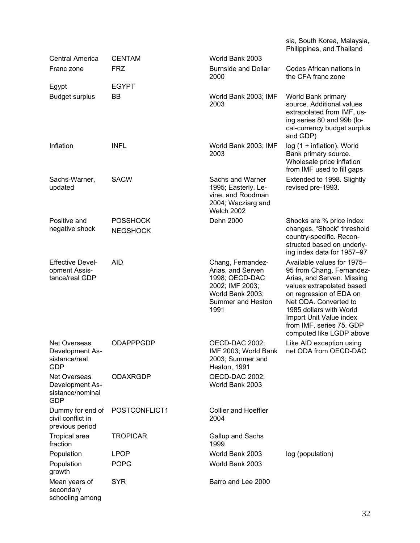|                                                                   |                                    |                                                                                                                              | sia, South Korea, Malaysia,<br>Philippines, and Thailand                                                                                                                                                                                                                             |
|-------------------------------------------------------------------|------------------------------------|------------------------------------------------------------------------------------------------------------------------------|--------------------------------------------------------------------------------------------------------------------------------------------------------------------------------------------------------------------------------------------------------------------------------------|
| Central America                                                   | <b>CENTAM</b>                      | World Bank 2003                                                                                                              |                                                                                                                                                                                                                                                                                      |
| Franc zone                                                        | <b>FRZ</b>                         | <b>Burnside and Dollar</b><br>2000                                                                                           | Codes African nations in<br>the CFA franc zone                                                                                                                                                                                                                                       |
| Egypt                                                             | <b>EGYPT</b>                       |                                                                                                                              |                                                                                                                                                                                                                                                                                      |
| <b>Budget surplus</b>                                             | BB                                 | World Bank 2003; IMF<br>2003                                                                                                 | World Bank primary<br>source. Additional values<br>extrapolated from IMF, us-<br>ing series 80 and 99b (lo-<br>cal-currency budget surplus<br>and GDP)                                                                                                                               |
| Inflation                                                         | <b>INFL</b>                        | World Bank 2003; IMF<br>2003                                                                                                 | log (1 + inflation). World<br>Bank primary source.<br>Wholesale price inflation<br>from IMF used to fill gaps                                                                                                                                                                        |
| Sachs-Warner,<br>updated                                          | <b>SACW</b>                        | Sachs and Warner<br>1995; Easterly, Le-<br>vine, and Roodman<br>2004; Wacziarg and<br><b>Welch 2002</b>                      | Extended to 1998. Slightly<br>revised pre-1993.                                                                                                                                                                                                                                      |
| Positive and<br>negative shock                                    | <b>POSSHOCK</b><br><b>NEGSHOCK</b> | Dehn 2000                                                                                                                    | Shocks are % price index<br>changes. "Shock" threshold<br>country-specific. Recon-<br>structed based on underly-<br>ing index data for 1957-97                                                                                                                                       |
| <b>Effective Devel-</b><br>opment Assis-<br>tance/real GDP        | <b>AID</b>                         | Chang, Fernandez-<br>Arias, and Serven<br>1998; OECD-DAC<br>2002; IMF 2003;<br>World Bank 2003;<br>Summer and Heston<br>1991 | Available values for 1975-<br>95 from Chang, Fernandez-<br>Arias, and Serven. Missing<br>values extrapolated based<br>on regression of EDA on<br>Net ODA. Converted to<br>1985 dollars with World<br>Import Unit Value index<br>from IMF, series 75. GDP<br>computed like LGDP above |
| Net Overseas<br>Development As-<br>sistance/real<br><b>GDP</b>    | ODAPPPGDP                          | OECD-DAC 2002;<br>IMF 2003; World Bank<br>2003; Summer and<br>Heston, 1991                                                   | Like AID exception using<br>net ODA from OECD-DAC                                                                                                                                                                                                                                    |
| Net Overseas<br>Development As-<br>sistance/nominal<br><b>GDP</b> | <b>ODAXRGDP</b>                    | OECD-DAC 2002;<br>World Bank 2003                                                                                            |                                                                                                                                                                                                                                                                                      |
| Dummy for end of<br>civil conflict in<br>previous period          | POSTCONFLICT1                      | <b>Collier and Hoeffler</b><br>2004                                                                                          |                                                                                                                                                                                                                                                                                      |
| <b>Tropical area</b><br>fraction                                  | <b>TROPICAR</b>                    | Gallup and Sachs<br>1999                                                                                                     |                                                                                                                                                                                                                                                                                      |
| Population                                                        | LPOP                               | World Bank 2003                                                                                                              | log (population)                                                                                                                                                                                                                                                                     |
| Population<br>growth                                              | <b>POPG</b>                        | World Bank 2003                                                                                                              |                                                                                                                                                                                                                                                                                      |
| Mean years of<br>secondary<br>schooling among                     | <b>SYR</b>                         | Barro and Lee 2000                                                                                                           |                                                                                                                                                                                                                                                                                      |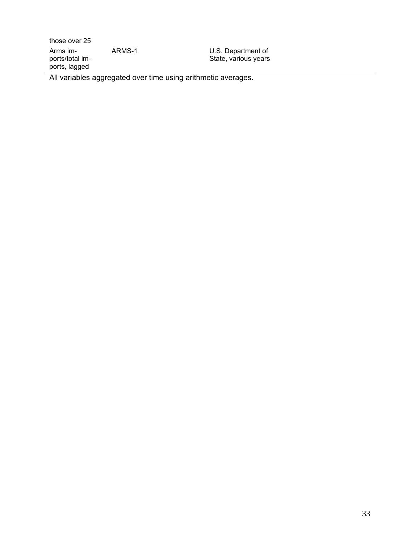those over 25 Arms imports/total imports, lagged

ARMS-1 U.S. Department of State, various years

All variables aggregated over time using arithmetic averages.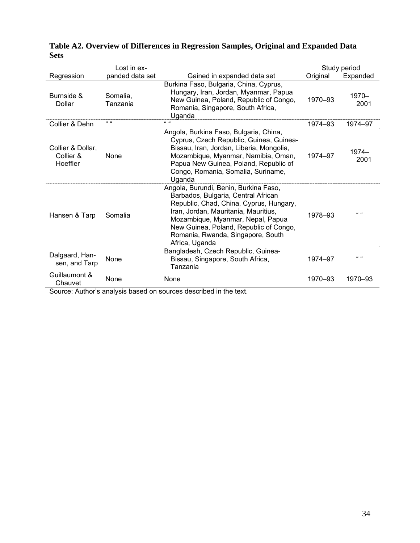|                                            | $Last in ex-$        |                                                                                                                                                                                                                                                                                                       |          | Study period  |
|--------------------------------------------|----------------------|-------------------------------------------------------------------------------------------------------------------------------------------------------------------------------------------------------------------------------------------------------------------------------------------------------|----------|---------------|
| Regression                                 | panded data set      | Gained in expanded data set                                                                                                                                                                                                                                                                           | Original | Expanded      |
| Burnside &<br>Dollar                       | Somalia,<br>Tanzania | Burkina Faso, Bulgaria, China, Cyprus,<br>Hungary, Iran, Jordan, Myanmar, Papua<br>New Guinea, Poland, Republic of Congo,<br>Romania, Singapore, South Africa,<br>Uganda                                                                                                                              | 1970-93  | 1970-<br>2001 |
| Collier & Dehn                             | $66 - 66$            | $66 - 66$                                                                                                                                                                                                                                                                                             | 1974-93  | 1974-97       |
| Collier & Dollar,<br>Collier &<br>Hoeffler | <b>None</b>          | Angola, Burkina Faso, Bulgaria, China,<br>Cyprus, Czech Republic, Guinea, Guinea-<br>Bissau, Iran, Jordan, Liberia, Mongolia,<br>Mozambique, Myanmar, Namibia, Oman,<br>Papua New Guinea, Poland, Republic of<br>Congo, Romania, Somalia, Suriname,<br>Uganda                                         | 1974-97  | 1974-<br>2001 |
| Hansen & Tarp                              | Somalia              | Angola, Burundi, Benin, Burkina Faso,<br>Barbados, Bulgaria, Central African<br>Republic, Chad, China, Cyprus, Hungary,<br>Iran, Jordan, Mauritania, Mauritius,<br>Mozambique, Myanmar, Nepal, Papua<br>New Guinea, Poland, Republic of Congo,<br>Romania, Rwanda, Singapore, South<br>Africa, Uganda | 1978-93  | $66 - 66$     |
| Dalgaard, Han-<br>sen, and Tarp            | None                 | Bangladesh, Czech Republic, Guinea-<br>Bissau, Singapore, South Africa,<br>Tanzania                                                                                                                                                                                                                   | 1974-97  | $66 - 66$     |
| Guillaumont &<br>Chauvet                   | None                 | None                                                                                                                                                                                                                                                                                                  | 1970-93  | 1970-93       |

### **Table A2. Overview of Differences in Regression Samples, Original and Expanded Data Sets**

Source: Author's analysis based on sources described in the text.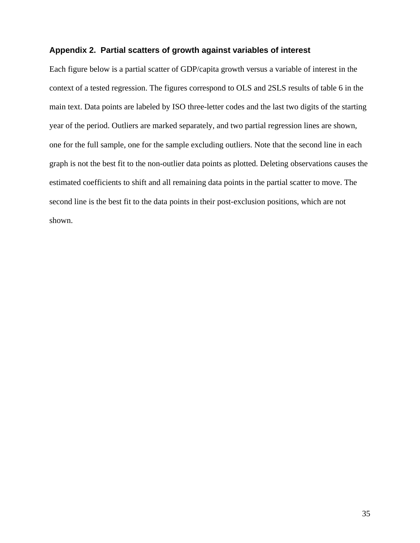### **Appendix 2. Partial scatters of growth against variables of interest**

Each figure below is a partial scatter of GDP/capita growth versus a variable of interest in the context of a tested regression. The figures correspond to OLS and 2SLS results of table 6 in the main text. Data points are labeled by ISO three-letter codes and the last two digits of the starting year of the period. Outliers are marked separately, and two partial regression lines are shown, one for the full sample, one for the sample excluding outliers. Note that the second line in each graph is not the best fit to the non-outlier data points as plotted. Deleting observations causes the estimated coefficients to shift and all remaining data points in the partial scatter to move. The second line is the best fit to the data points in their post-exclusion positions, which are not shown.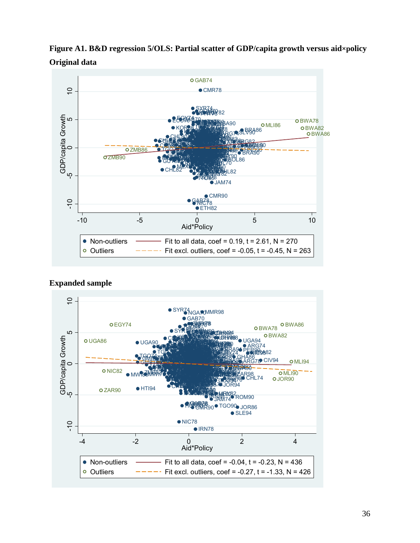

**Figure A1. B&D regression 5/OLS: Partial scatter of GDP/capita growth versus aid×policy Original data** 

**Expanded sample** 

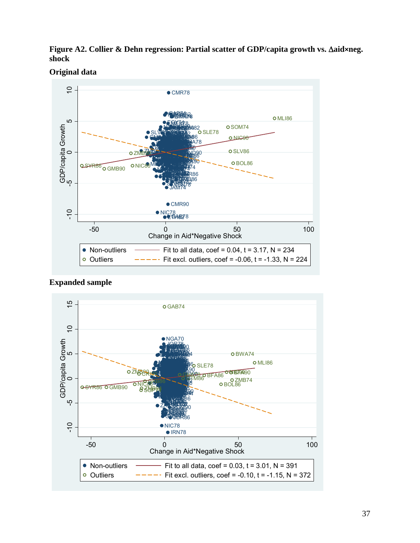**Figure A2. Collier & Dehn regression: Partial scatter of GDP/capita growth vs.** Δ**aid×neg. shock** 

**Original data** 



**Expanded sample** 

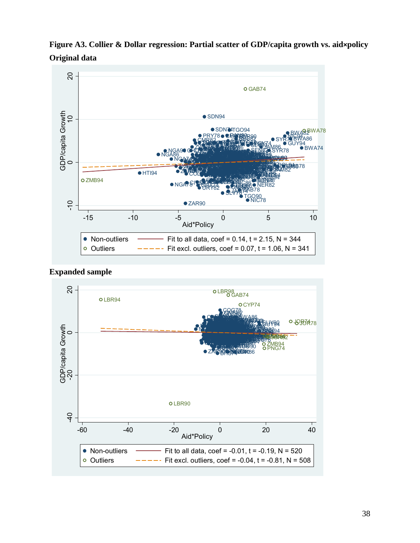





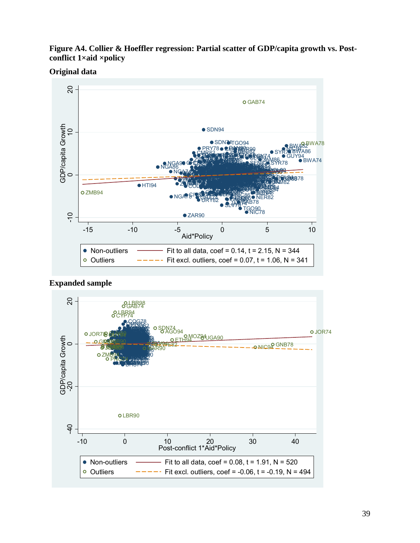**Figure A4. Collier & Hoeffler regression: Partial scatter of GDP/capita growth vs. Postconflict 1×aid ×policy** 

**Original data** 



**Expanded sample**